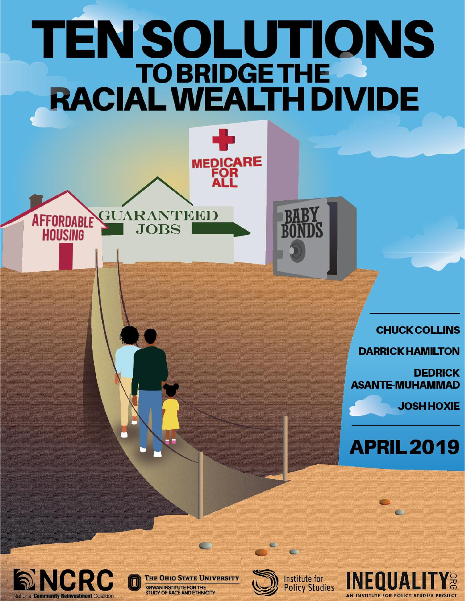# TEN SOLUTIONS **TO BRIDGE THE RACIAL WEALTH DIVIDE**

MEDICARE<br>FOR<br>ALL

**HUARANTIBIDID** 

JOBS

**BABY<br>BONDS** 

**CHUCK COLLINS** 

**DARRICK HAMILTON** 

**DEDRICK ASANTE-MUHAMMAD** 

**JOSH HOXIE** 

# **APRIL 2019**



**AFFORDABLE** 

**HOUSING** 

**THE OHIO STATE UNIVERSITY** KIRWAN INSTITUTE FOR THE<br>STUDY OF RACE AND ETHNICITY

 $\blacksquare$ 



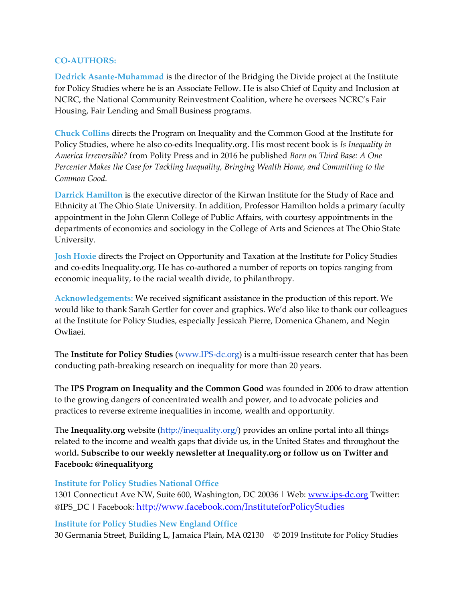#### **CO-AUTHORS:**

**Dedrick Asante-Muhammad** is the director of the Bridging the Divide project at the Institute for Policy Studies where he is an Associate Fellow. He is also Chief of Equity and Inclusion at NCRC, the National Community Reinvestment Coalition, where he oversees NCRC's Fair Housing, Fair Lending and Small Business programs.

**Chuck Collins** directs the Program on Inequality and the Common Good at the Institute for Policy Studies, where he also co-edits Inequality.org. His most recent book is *Is Inequality in America Irreversible?* from Polity Press and in 2016 he published *Born on Third Base: A One Percenter Makes the Case for Tackling Inequality, Bringing Wealth Home, and Committing to the Common Good.* 

**Darrick Hamilton** is the executive director of the Kirwan Institute for the Study of Race and Ethnicity at The Ohio State University. In addition, Professor Hamilton holds a primary faculty appointment in the John Glenn College of Public Affairs, with courtesy appointments in the departments of economics and sociology in the College of Arts and Sciences at The Ohio State University.

**Josh Hoxie** directs the Project on Opportunity and Taxation at the Institute for Policy Studies and co-edits Inequality.org. He has co-authored a number of reports on topics ranging from economic inequality, to the racial wealth divide, to philanthropy.

**Acknowledgements:** We received significant assistance in the production of this report. We would like to thank Sarah Gertler for cover and graphics. We'd also like to thank our colleagues at the Institute for Policy Studies, especially Jessicah Pierre, Domenica Ghanem, and Negin Owliaei.

The **Institute for Policy Studies** (www.IPS-dc.org) is a multi-issue research center that has been conducting path-breaking research on inequality for more than 20 years.

The **IPS Program on Inequality and the Common Good** was founded in 2006 to draw attention to the growing dangers of concentrated wealth and power, and to advocate policies and practices to reverse extreme inequalities in income, wealth and opportunity.

The **Inequality.org** website (http://inequality.org/) provides an online portal into all things related to the income and wealth gaps that divide us, in the United States and throughout the world**. Subscribe to our weekly newsletter at Inequality.org or follow us on Twitter and Facebook: @inequalityorg** 

#### **Institute for Policy Studies National Office**

1301 Connecticut Ave NW, Suite 600, Washington, DC 20036 | Web: [www.ips-dc.org](http://www.ips-dc.org/) Twitter: @IPS\_DC | Facebook: <http://www.facebook.com/InstituteforPolicyStudies>

#### **Institute for Policy Studies New England Office**

30 Germania Street, Building L, Jamaica Plain, MA 02130 © 2019 Institute for Policy Studies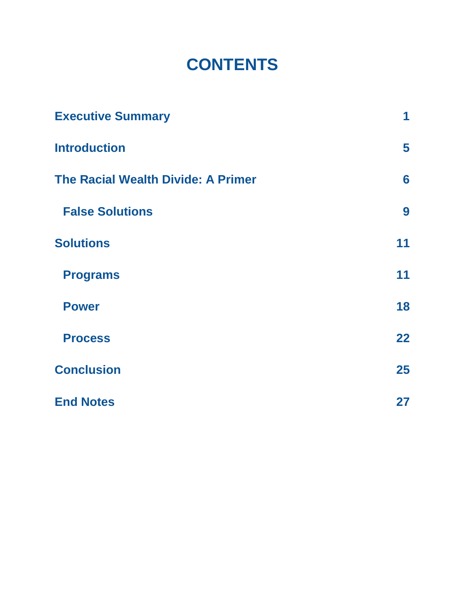## **CONTENTS**

| <b>Executive Summary</b>                  | 1  |
|-------------------------------------------|----|
| <b>Introduction</b>                       | 5  |
| <b>The Racial Wealth Divide: A Primer</b> | 6  |
| <b>False Solutions</b>                    | 9  |
| <b>Solutions</b>                          | 11 |
| <b>Programs</b>                           | 11 |
| <b>Power</b>                              | 18 |
| <b>Process</b>                            | 22 |
| <b>Conclusion</b>                         | 25 |
| <b>End Notes</b>                          | 27 |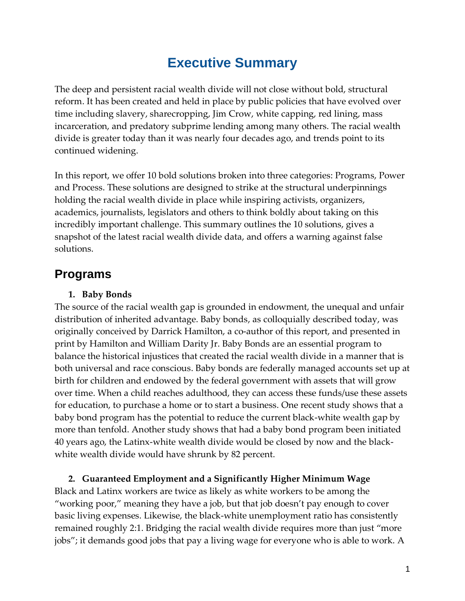### **Executive Summary**

<span id="page-3-0"></span>The deep and persistent racial wealth divide will not close without bold, structural reform. It has been created and held in place by public policies that have evolved over time including slavery, sharecropping, Jim Crow, white capping, red lining, mass incarceration, and predatory subprime lending among many others. The racial wealth divide is greater today than it was nearly four decades ago, and trends point to its continued widening.

In this report, we offer 10 bold solutions broken into three categories: Programs, Power and Process. These solutions are designed to strike at the structural underpinnings holding the racial wealth divide in place while inspiring activists, organizers, academics, journalists, legislators and others to think boldly about taking on this incredibly important challenge. This summary outlines the 10 solutions, gives a snapshot of the latest racial wealth divide data, and offers a warning against false solutions.

### **Programs**

### **1. Baby Bonds**

The source of the racial wealth gap is grounded in endowment, the unequal and unfair distribution of inherited advantage. Baby bonds, as colloquially described today, was originally conceived by Darrick Hamilton, a co-author of this report, and presented in print by Hamilton and William Darity Jr. Baby Bonds are an essential program to balance the historical injustices that created the racial wealth divide in a manner that is both universal and race conscious. Baby bonds are federally managed accounts set up at birth for children and endowed by the federal government with assets that will grow over time. When a child reaches adulthood, they can access these funds/use these assets for education, to purchase a home or to start a business. One recent study shows that a baby bond program has the potential to reduce the current black-white wealth gap by more than tenfold. Another study shows that had a baby bond program been initiated 40 years ago, the Latinx-white wealth divide would be closed by now and the blackwhite wealth divide would have shrunk by 82 percent.

**2. Guaranteed Employment and a Significantly Higher Minimum Wage**  Black and Latinx workers are twice as likely as white workers to be among the "working poor," meaning they have a job, but that job doesn't pay enough to cover basic living expenses. Likewise, the black-white unemployment ratio has consistently remained roughly 2:1. Bridging the racial wealth divide requires more than just "more jobs"; it demands good jobs that pay a living wage for everyone who is able to work. A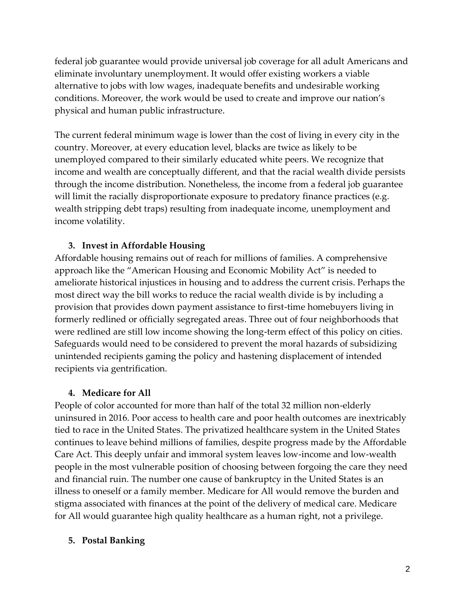federal job guarantee would provide universal job coverage for all adult Americans and eliminate involuntary unemployment. It would offer existing workers a viable alternative to jobs with low wages, inadequate benefits and undesirable working conditions. Moreover, the work would be used to create and improve our nation's physical and human public infrastructure.

The current federal minimum wage is lower than the cost of living in every city in the country. Moreover, at every education level, blacks are twice as likely to be unemployed compared to their similarly educated white peers. We recognize that income and wealth are conceptually different, and that the racial wealth divide persists through the income distribution. Nonetheless, the income from a federal job guarantee will limit the racially disproportionate exposure to predatory finance practices (e.g. wealth stripping debt traps) resulting from inadequate income, unemployment and income volatility.

### **3. Invest in Affordable Housing**

Affordable housing remains out of reach for millions of families. A comprehensive approach like the "American Housing and Economic Mobility Act" is needed to ameliorate historical injustices in housing and to address the current crisis. Perhaps the most direct way the bill works to reduce the racial wealth divide is by including a provision that provides down payment assistance to first-time homebuyers living in formerly redlined or officially segregated areas. Three out of four neighborhoods that were redlined are still low income showing the long-term effect of this policy on cities. Safeguards would need to be considered to prevent the moral hazards of subsidizing unintended recipients gaming the policy and hastening displacement of intended recipients via gentrification.

### **4. Medicare for All**

People of color accounted for more than half of the total 32 million non-elderly uninsured in 2016. Poor access to health care and poor health outcomes are inextricably tied to race in the United States. The privatized healthcare system in the United States continues to leave behind millions of families, despite progress made by the Affordable Care Act. This deeply unfair and immoral system leaves low-income and low-wealth people in the most vulnerable position of choosing between forgoing the care they need and financial ruin. The number one cause of bankruptcy in the United States is an illness to oneself or a family member. Medicare for All would remove the burden and stigma associated with finances at the point of the delivery of medical care. Medicare for All would guarantee high quality healthcare as a human right, not a privilege.

### **5. Postal Banking**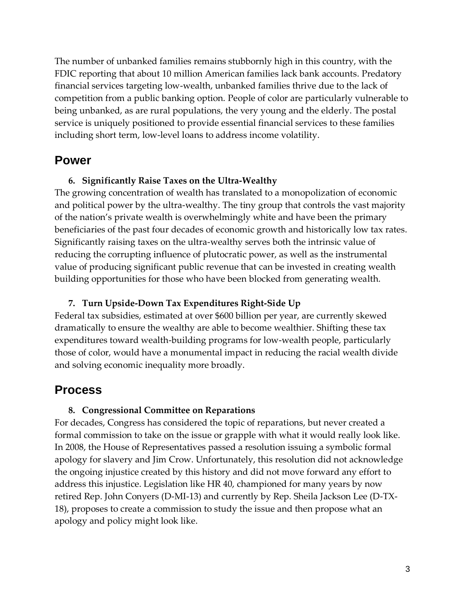The number of unbanked families remains stubbornly high in this country, with the FDIC reporting that about 10 million American families lack bank accounts. Predatory financial services targeting low-wealth, unbanked families thrive due to the lack of competition from a public banking option. People of color are particularly vulnerable to being unbanked, as are rural populations, the very young and the elderly. The postal service is uniquely positioned to provide essential financial services to these families including short term, low-level loans to address income volatility.

### **Power**

#### **6. Significantly Raise Taxes on the Ultra-Wealthy**

The growing concentration of wealth has translated to a monopolization of economic and political power by the ultra-wealthy. The tiny group that controls the vast majority of the nation's private wealth is overwhelmingly white and have been the primary beneficiaries of the past four decades of economic growth and historically low tax rates. Significantly raising taxes on the ultra-wealthy serves both the intrinsic value of reducing the corrupting influence of plutocratic power, as well as the instrumental value of producing significant public revenue that can be invested in creating wealth building opportunities for those who have been blocked from generating wealth.

#### **7. Turn Upside-Down Tax Expenditures Right-Side Up**

Federal tax subsidies, estimated at over \$600 billion per year, are currently skewed dramatically to ensure the wealthy are able to become wealthier. Shifting these tax expenditures toward wealth-building programs for low-wealth people, particularly those of color, would have a monumental impact in reducing the racial wealth divide and solving economic inequality more broadly.

### **Process**

#### **8. Congressional Committee on Reparations**

For decades, Congress has considered the topic of reparations, but never created a formal commission to take on the issue or grapple with what it would really look like. In 2008, the House of Representatives passed a resolution issuing a symbolic formal apology for slavery and Jim Crow. Unfortunately, this resolution did not acknowledge the ongoing injustice created by this history and did not move forward any effort to address this injustice. Legislation like HR 40, championed for many years by now retired Rep. John Conyers (D-MI-13) and currently by Rep. Sheila Jackson Lee (D-TX-18), proposes to create a commission to study the issue and then propose what an apology and policy might look like.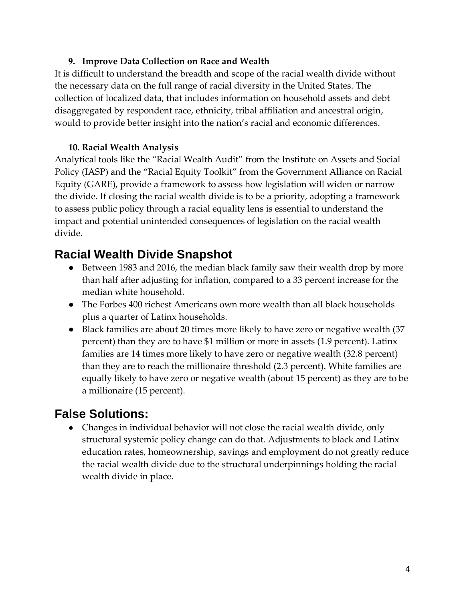### **9. Improve Data Collection on Race and Wealth**

It is difficult to understand the breadth and scope of the racial wealth divide without the necessary data on the full range of racial diversity in the United States. The collection of localized data, that includes information on household assets and debt disaggregated by respondent race, ethnicity, tribal affiliation and ancestral origin, would to provide better insight into the nation's racial and economic differences.

### **10. Racial Wealth Analysis**

Analytical tools like the "Racial Wealth Audit" from the Institute on Assets and Social Policy (IASP) and the "Racial Equity Toolkit" from the Government Alliance on Racial Equity (GARE), provide a framework to assess how legislation will widen or narrow the divide. If closing the racial wealth divide is to be a priority, adopting a framework to assess public policy through a racial equality lens is essential to understand the impact and potential unintended consequences of legislation on the racial wealth divide.

### **Racial Wealth Divide Snapshot**

- Between 1983 and 2016, the median black family saw their wealth drop by more than half after adjusting for inflation, compared to a 33 percent increase for the median white household.
- The Forbes 400 richest Americans own more wealth than all black households plus a quarter of Latinx households.
- Black families are about 20 times more likely to have zero or negative wealth (37 percent) than they are to have \$1 million or more in assets (1.9 percent). Latinx families are 14 times more likely to have zero or negative wealth (32.8 percent) than they are to reach the millionaire threshold (2.3 percent). White families are equally likely to have zero or negative wealth (about 15 percent) as they are to be a millionaire (15 percent).

### **False Solutions:**

● Changes in individual behavior will not close the racial wealth divide, only structural systemic policy change can do that. Adjustments to black and Latinx education rates, homeownership, savings and employment do not greatly reduce the racial wealth divide due to the structural underpinnings holding the racial wealth divide in place.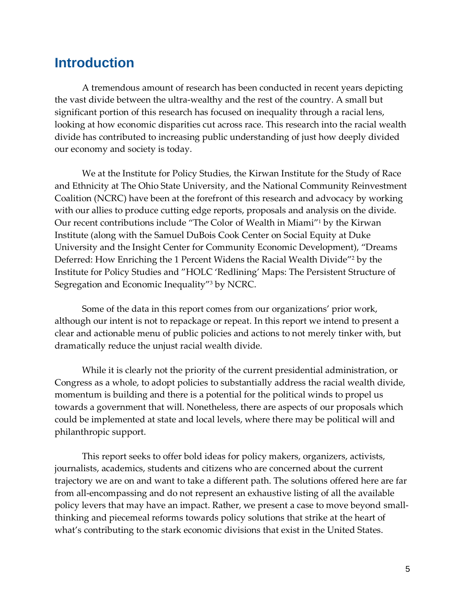### <span id="page-7-0"></span>**Introduction**

A tremendous amount of research has been conducted in recent years depicting the vast divide between the ultra-wealthy and the rest of the country. A small but significant portion of this research has focused on inequality through a racial lens, looking at how economic disparities cut across race. This research into the racial wealth divide has contributed to increasing public understanding of just how deeply divided our economy and society is today.

We at the Institute for Policy Studies, the Kirwan Institute for the Study of Race and Ethnicity at The Ohio State University, and the National Community Reinvestment Coalition (NCRC) have been at the forefront of this research and advocacy by working with our allies to produce cutting edge reports, proposals and analysis on the divide. Our recent contributions include "The Color of Wealth in Miami"<sup>1</sup> by the Kirwan Institute (along with the Samuel DuBois Cook Center on Social Equity at Duke University and the Insight Center for Community Economic Development), "Dreams Deferred: How Enriching the 1 Percent Widens the Racial Wealth Divide"<sup>2</sup> by the Institute for Policy Studies and "HOLC 'Redlining' Maps: The Persistent Structure of Segregation and Economic Inequality"<sup>3</sup> by NCRC.

Some of the data in this report comes from our organizations' prior work, although our intent is not to repackage or repeat. In this report we intend to present a clear and actionable menu of public policies and actions to not merely tinker with, but dramatically reduce the unjust racial wealth divide.

While it is clearly not the priority of the current presidential administration, or Congress as a whole, to adopt policies to substantially address the racial wealth divide, momentum is building and there is a potential for the political winds to propel us towards a government that will. Nonetheless, there are aspects of our proposals which could be implemented at state and local levels, where there may be political will and philanthropic support.

This report seeks to offer bold ideas for policy makers, organizers, activists, journalists, academics, students and citizens who are concerned about the current trajectory we are on and want to take a different path. The solutions offered here are far from all-encompassing and do not represent an exhaustive listing of all the available policy levers that may have an impact. Rather, we present a case to move beyond smallthinking and piecemeal reforms towards policy solutions that strike at the heart of what's contributing to the stark economic divisions that exist in the United States.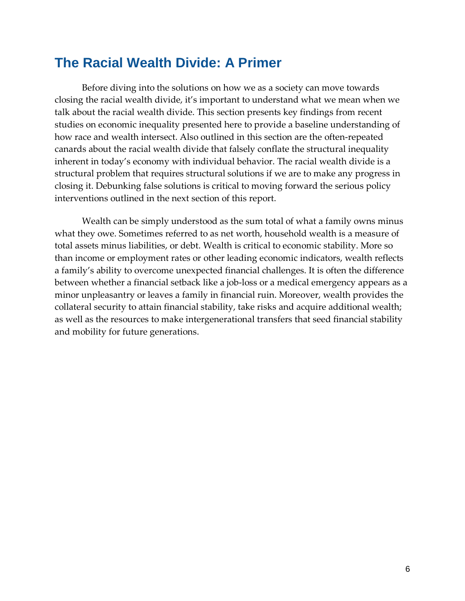### <span id="page-8-0"></span>**The Racial Wealth Divide: A Primer**

Before diving into the solutions on how we as a society can move towards closing the racial wealth divide, it's important to understand what we mean when we talk about the racial wealth divide. This section presents key findings from recent studies on economic inequality presented here to provide a baseline understanding of how race and wealth intersect. Also outlined in this section are the often-repeated canards about the racial wealth divide that falsely conflate the structural inequality inherent in today's economy with individual behavior. The racial wealth divide is a structural problem that requires structural solutions if we are to make any progress in closing it. Debunking false solutions is critical to moving forward the serious policy interventions outlined in the next section of this report.

Wealth can be simply understood as the sum total of what a family owns minus what they owe. Sometimes referred to as net worth, household wealth is a measure of total assets minus liabilities, or debt. Wealth is critical to economic stability. More so than income or employment rates or other leading economic indicators, wealth reflects a family's ability to overcome unexpected financial challenges. It is often the difference between whether a financial setback like a job-loss or a medical emergency appears as a minor unpleasantry or leaves a family in financial ruin. Moreover, wealth provides the collateral security to attain financial stability, take risks and acquire additional wealth; as well as the resources to make intergenerational transfers that seed financial stability and mobility for future generations.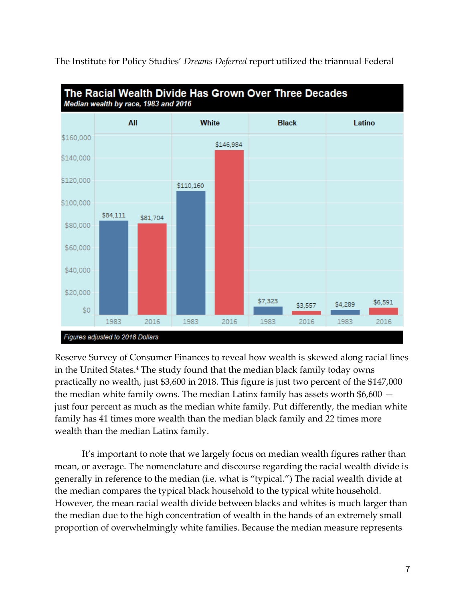

The Institute for Policy Studies' *Dreams Deferred* report utilized the triannual Federal

Reserve Survey of Consumer Finances to reveal how wealth is skewed along racial lines in the United States.<sup>4</sup> The study found that the median black family today owns practically no wealth, just \$3,600 in 2018. This figure is just two percent of the \$147,000 the median white family owns. The median Latinx family has assets worth \$6,600 just four percent as much as the median white family. Put differently, the median white family has 41 times more wealth than the median black family and 22 times more wealth than the median Latinx family.

It's important to note that we largely focus on median wealth figures rather than mean, or average. The nomenclature and discourse regarding the racial wealth divide is generally in reference to the median (i.e. what is "typical.") The racial wealth divide at the median compares the typical black household to the typical white household. However, the mean racial wealth divide between blacks and whites is much larger than the median due to the high concentration of wealth in the hands of an extremely small proportion of overwhelmingly white families. Because the median measure represents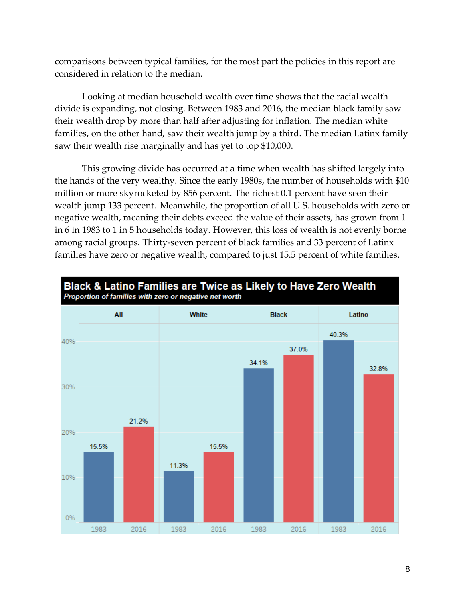comparisons between typical families, for the most part the policies in this report are considered in relation to the median.

Looking at median household wealth over time shows that the racial wealth divide is expanding, not closing. Between 1983 and 2016, the median black family saw their wealth drop by more than half after adjusting for inflation. The median white families, on the other hand, saw their wealth jump by a third. The median Latinx family saw their wealth rise marginally and has yet to top \$10,000.

This growing divide has occurred at a time when wealth has shifted largely into the hands of the very wealthy. Since the early 1980s, the number of households with \$10 million or more skyrocketed by 856 percent. The richest 0.1 percent have seen their wealth jump 133 percent. Meanwhile, the proportion of all U.S. households with zero or negative wealth, meaning their debts exceed the value of their assets, has grown from 1 in 6 in 1983 to 1 in 5 households today. However, this loss of wealth is not evenly borne among racial groups. Thirty-seven percent of black families and 33 percent of Latinx families have zero or negative wealth, compared to just 15.5 percent of white families.

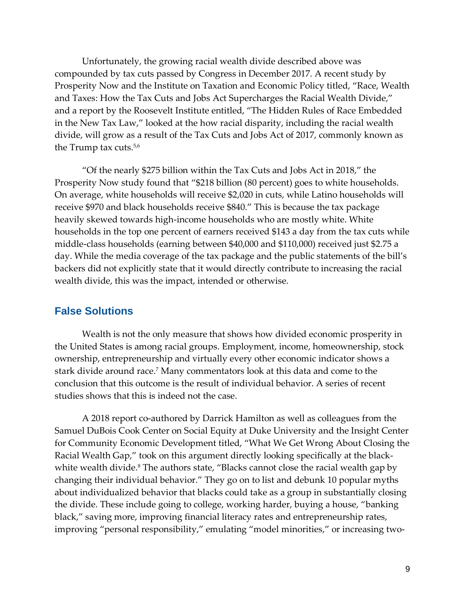Unfortunately, the growing racial wealth divide described above was compounded by tax cuts passed by Congress in December 2017. A recent study by Prosperity Now and the Institute on Taxation and Economic Policy titled, "Race, Wealth and Taxes: How the Tax Cuts and Jobs Act Supercharges the Racial Wealth Divide," and a report by the Roosevelt Institute entitled, "The Hidden Rules of Race Embedded in the New Tax Law," looked at the how racial disparity, including the racial wealth divide, will grow as a result of the Tax Cuts and Jobs Act of 2017, commonly known as the Trump tax cuts.5,6

"Of the nearly \$275 billion within the Tax Cuts and Jobs Act in 2018," the Prosperity Now study found that "\$218 billion (80 percent) goes to white households. On average, white households will receive \$2,020 in cuts, while Latino households will receive \$970 and black households receive \$840." This is because the tax package heavily skewed towards high-income households who are mostly white. White households in the top one percent of earners received \$143 a day from the tax cuts while middle-class households (earning between \$40,000 and \$110,000) received just \$2.75 a day. While the media coverage of the tax package and the public statements of the bill's backers did not explicitly state that it would directly contribute to increasing the racial wealth divide, this was the impact, intended or otherwise.

#### <span id="page-11-0"></span>**False Solutions**

Wealth is not the only measure that shows how divided economic prosperity in the United States is among racial groups. Employment, income, homeownership, stock ownership, entrepreneurship and virtually every other economic indicator shows a stark divide around race.<sup>7</sup> Many commentators look at this data and come to the conclusion that this outcome is the result of individual behavior. A series of recent studies shows that this is indeed not the case.

A 2018 report co-authored by Darrick Hamilton as well as colleagues from the Samuel DuBois Cook Center on Social Equity at Duke University and the Insight Center for Community Economic Development titled, "What We Get Wrong About Closing the Racial Wealth Gap," took on this argument directly looking specifically at the blackwhite wealth divide.<sup>8</sup> The authors state, "Blacks cannot close the racial wealth gap by changing their individual behavior." They go on to list and debunk 10 popular myths about individualized behavior that blacks could take as a group in substantially closing the divide. These include going to college, working harder, buying a house, "banking black," saving more, improving financial literacy rates and entrepreneurship rates, improving "personal responsibility," emulating "model minorities," or increasing two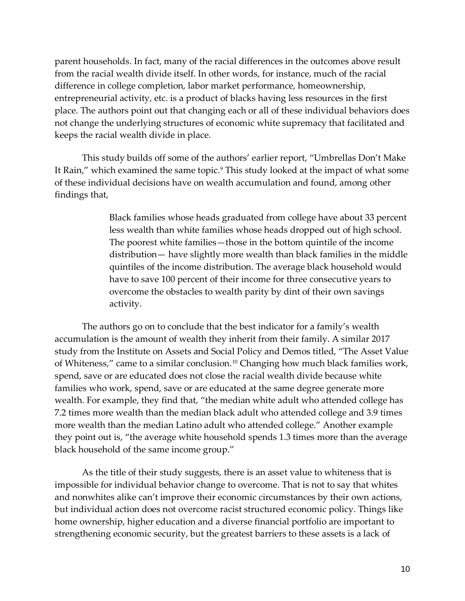parent households. In fact, many of the racial differences in the outcomes above result from the racial wealth divide itself. In other words, for instance, much of the racial difference in college completion, labor market performance, homeownership, entrepreneurial activity, etc. is a product of blacks having less resources in the first place. The authors point out that changing each or all of these individual behaviors does not change the underlying structures of economic white supremacy that facilitated and keeps the racial wealth divide in place.

This study builds off some of the authors' earlier report, "Umbrellas Don't Make It Rain," which examined the same topic.<sup>9</sup> This study looked at the impact of what some of these individual decisions have on wealth accumulation and found, among other findings that,

> Black families whose heads graduated from college have about 33 percent less wealth than white families whose heads dropped out of high school. The poorest white families—those in the bottom quintile of the income distribution— have slightly more wealth than black families in the middle quintiles of the income distribution. The average black household would have to save 100 percent of their income for three consecutive years to overcome the obstacles to wealth parity by dint of their own savings activity.

The authors go on to conclude that the best indicator for a family's wealth accumulation is the amount of wealth they inherit from their family. A similar 2017 study from the Institute on Assets and Social Policy and Demos titled, "The Asset Value of Whiteness," came to a similar conclusion.<sup>10</sup> Changing how much black families work, spend, save or are educated does not close the racial wealth divide because white families who work, spend, save or are educated at the same degree generate more wealth. For example, they find that, "the median white adult who attended college has 7.2 times more wealth than the median black adult who attended college and 3.9 times more wealth than the median Latino adult who attended college." Another example they point out is, "the average white household spends 1.3 times more than the average black household of the same income group."

As the title of their study suggests, there is an asset value to whiteness that is impossible for individual behavior change to overcome. That is not to say that whites and nonwhites alike can't improve their economic circumstances by their own actions, but individual action does not overcome racist structured economic policy. Things like home ownership, higher education and a diverse financial portfolio are important to strengthening economic security, but the greatest barriers to these assets is a lack of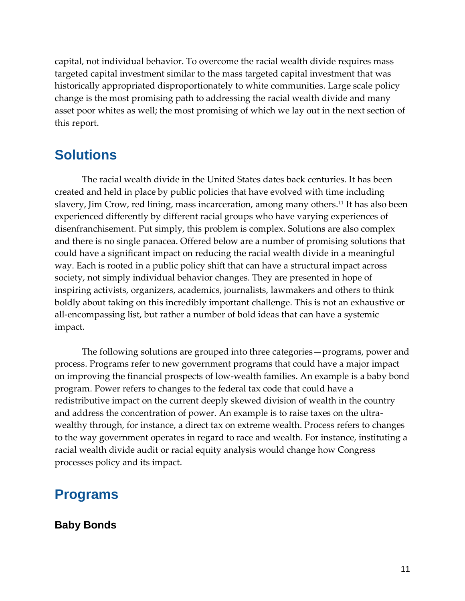capital, not individual behavior. To overcome the racial wealth divide requires mass targeted capital investment similar to the mass targeted capital investment that was historically appropriated disproportionately to white communities. Large scale policy change is the most promising path to addressing the racial wealth divide and many asset poor whites as well; the most promising of which we lay out in the next section of this report.

### <span id="page-13-0"></span>**Solutions**

The racial wealth divide in the United States dates back centuries. It has been created and held in place by public policies that have evolved with time including slavery, Jim Crow, red lining, mass incarceration, among many others.<sup>11</sup> It has also been experienced differently by different racial groups who have varying experiences of disenfranchisement. Put simply, this problem is complex. Solutions are also complex and there is no single panacea. Offered below are a number of promising solutions that could have a significant impact on reducing the racial wealth divide in a meaningful way. Each is rooted in a public policy shift that can have a structural impact across society, not simply individual behavior changes. They are presented in hope of inspiring activists, organizers, academics, journalists, lawmakers and others to think boldly about taking on this incredibly important challenge. This is not an exhaustive or all-encompassing list, but rather a number of bold ideas that can have a systemic impact.

The following solutions are grouped into three categories—programs, power and process. Programs refer to new government programs that could have a major impact on improving the financial prospects of low-wealth families. An example is a baby bond program. Power refers to changes to the federal tax code that could have a redistributive impact on the current deeply skewed division of wealth in the country and address the concentration of power. An example is to raise taxes on the ultrawealthy through, for instance, a direct tax on extreme wealth. Process refers to changes to the way government operates in regard to race and wealth. For instance, instituting a racial wealth divide audit or racial equity analysis would change how Congress processes policy and its impact.

### <span id="page-13-1"></span>**Programs**

### **Baby Bonds**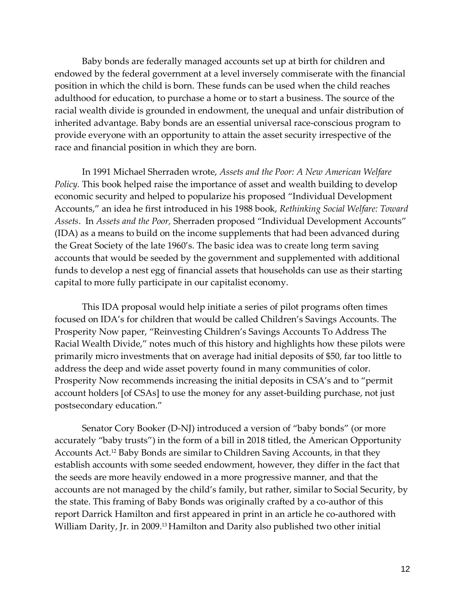Baby bonds are federally managed accounts set up at birth for children and endowed by the federal government at a level inversely commiserate with the financial position in which the child is born. These funds can be used when the child reaches adulthood for education, to purchase a home or to start a business. The source of the racial wealth divide is grounded in endowment, the unequal and unfair distribution of inherited advantage. Baby bonds are an essential universal race-conscious program to provide everyone with an opportunity to attain the asset security irrespective of the race and financial position in which they are born.

In 1991 Michael Sherraden wrote, *Assets and the Poor: A New American Welfare Policy.* This book helped raise the importance of asset and wealth building to develop economic security and helped to popularize his proposed "Individual Development Accounts," an idea he first introduced in his 1988 book, *Rethinking Social Welfare: Toward Assets*. In *Assets and the Poor,* Sherraden proposed "Individual Development Accounts" (IDA) as a means to build on the income supplements that had been advanced during the Great Society of the late 1960's. The basic idea was to create long term saving accounts that would be seeded by the government and supplemented with additional funds to develop a nest egg of financial assets that households can use as their starting capital to more fully participate in our capitalist economy.

This IDA proposal would help initiate a series of pilot programs often times focused on IDA's for children that would be called Children's Savings Accounts. The Prosperity Now paper, "Reinvesting Children's Savings Accounts To Address The Racial Wealth Divide," notes much of this history and highlights how these pilots were primarily micro investments that on average had initial deposits of \$50, far too little to address the deep and wide asset poverty found in many communities of color. Prosperity Now recommends increasing the initial deposits in CSA's and to "permit account holders [of CSAs] to use the money for any asset-building purchase, not just postsecondary education."

Senator Cory Booker (D-NJ) introduced a version of "baby bonds" (or more accurately "baby trusts") in the form of a bill in 2018 titled, the American Opportunity Accounts Act.<sup>12</sup> Baby Bonds are similar to Children Saving Accounts, in that they establish accounts with some seeded endowment, however, they differ in the fact that the seeds are more heavily endowed in a more progressive manner, and that the accounts are not managed by the child's family, but rather, similar to Social Security, by the state. This framing of Baby Bonds was originally crafted by a co-author of this report Darrick Hamilton and first appeared in print in an article he co-authored with William Darity, Jr. in 2009.<sup>13</sup> Hamilton and Darity also published two other initial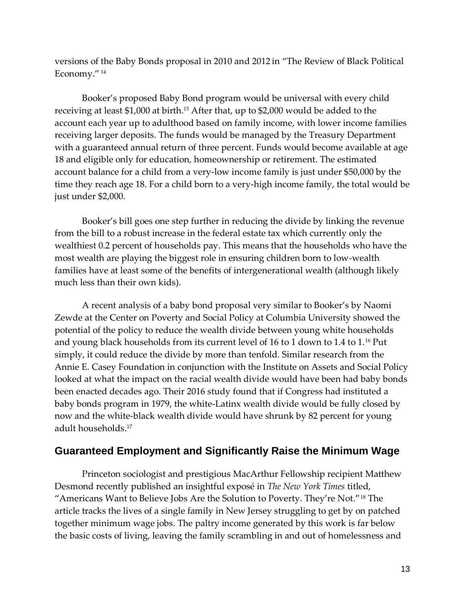versions of the Baby Bonds proposal in 2010 and 2012 in "The Review of Black Political Economy." <sup>14</sup>

Booker's proposed Baby Bond program would be universal with every child receiving at least \$1,000 at birth.<sup>15</sup> After that, up to \$2,000 would be added to the account each year up to adulthood based on family income, with lower income families receiving larger deposits. The funds would be managed by the Treasury Department with a guaranteed annual return of three percent. Funds would become available at age 18 and eligible only for education, homeownership or retirement. The estimated account balance for a child from a very-low income family is just under \$50,000 by the time they reach age 18. For a child born to a very-high income family, the total would be just under \$2,000.

Booker's bill goes one step further in reducing the divide by linking the revenue from the bill to a robust increase in the federal estate tax which currently only the wealthiest 0.2 percent of households pay. This means that the households who have the most wealth are playing the biggest role in ensuring children born to low-wealth families have at least some of the benefits of intergenerational wealth (although likely much less than their own kids).

A recent analysis of a baby bond proposal very similar to Booker's by Naomi Zewde at the Center on Poverty and Social Policy at Columbia University showed the potential of the policy to reduce the wealth divide between young white households and young black households from its current level of 16 to 1 down to 1.4 to 1.<sup>16</sup> Put simply, it could reduce the divide by more than tenfold. Similar research from the Annie E. Casey Foundation in conjunction with the Institute on Assets and Social Policy looked at what the impact on the racial wealth divide would have been had baby bonds been enacted decades ago. Their 2016 study found that if Congress had instituted a baby bonds program in 1979, the white-Latinx wealth divide would be fully closed by now and the white-black wealth divide would have shrunk by 82 percent for young adult households.<sup>17</sup>

### **Guaranteed Employment and Significantly Raise the Minimum Wage**

Princeton sociologist and prestigious MacArthur Fellowship recipient Matthew Desmond recently published an insightful exposé in *The New York Times* titled, "Americans Want to Believe Jobs Are the Solution to Poverty. They're Not."<sup>18</sup> The article tracks the lives of a single family in New Jersey struggling to get by on patched together minimum wage jobs. The paltry income generated by this work is far below the basic costs of living, leaving the family scrambling in and out of homelessness and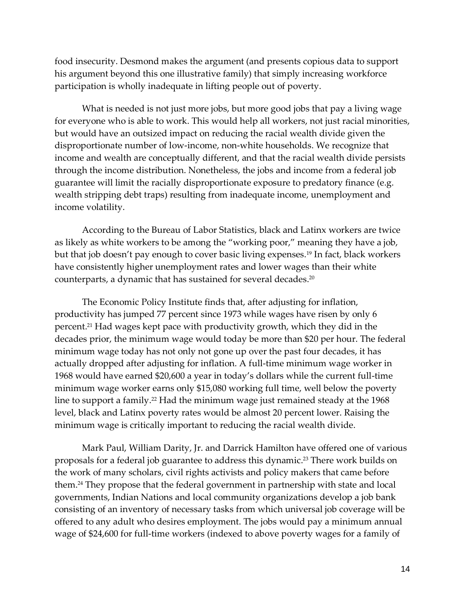food insecurity. Desmond makes the argument (and presents copious data to support his argument beyond this one illustrative family) that simply increasing workforce participation is wholly inadequate in lifting people out of poverty.

What is needed is not just more jobs, but more good jobs that pay a living wage for everyone who is able to work. This would help all workers, not just racial minorities, but would have an outsized impact on reducing the racial wealth divide given the disproportionate number of low-income, non-white households. We recognize that income and wealth are conceptually different, and that the racial wealth divide persists through the income distribution. Nonetheless, the jobs and income from a federal job guarantee will limit the racially disproportionate exposure to predatory finance (e.g. wealth stripping debt traps) resulting from inadequate income, unemployment and income volatility.

According to the Bureau of Labor Statistics, black and Latinx workers are twice as likely as white workers to be among the "working poor," meaning they have a job, but that job doesn't pay enough to cover basic living expenses.<sup>19</sup> In fact, black workers have consistently higher unemployment rates and lower wages than their white counterparts, a dynamic that has sustained for several decades.<sup>20</sup>

The Economic Policy Institute finds that, after adjusting for inflation, productivity has jumped 77 percent since 1973 while wages have risen by only 6 percent.<sup>21</sup> Had wages kept pace with productivity growth, which they did in the decades prior, the minimum wage would today be more than \$20 per hour. The federal minimum wage today has not only not gone up over the past four decades, it has actually dropped after adjusting for inflation. A full-time minimum wage worker in 1968 would have earned \$20,600 a year in today's dollars while the current full-time minimum wage worker earns only \$15,080 working full time, well below the poverty line to support a family.<sup>22</sup> Had the minimum wage just remained steady at the 1968 level, black and Latinx poverty rates would be almost 20 percent lower. Raising the minimum wage is critically important to reducing the racial wealth divide.

Mark Paul, William Darity, Jr. and Darrick Hamilton have offered one of various proposals for a federal job guarantee to address this dynamic.<sup>23</sup> There work builds on the work of many scholars, civil rights activists and policy makers that came before them.<sup>24</sup> They propose that the federal government in partnership with state and local governments, Indian Nations and local community organizations develop a job bank consisting of an inventory of necessary tasks from which universal job coverage will be offered to any adult who desires employment. The jobs would pay a minimum annual wage of \$24,600 for full-time workers (indexed to above poverty wages for a family of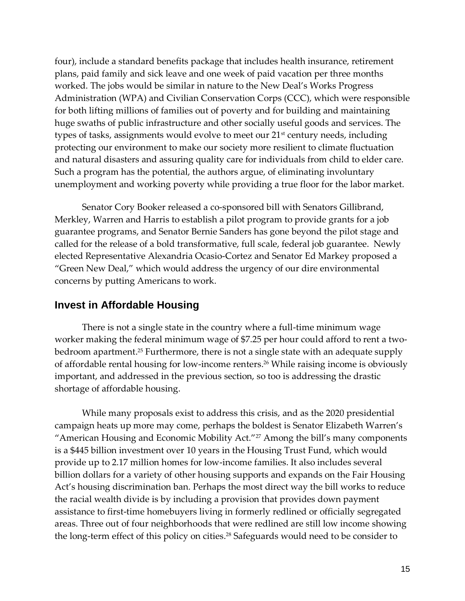four), include a standard benefits package that includes health insurance, retirement plans, paid family and sick leave and one week of paid vacation per three months worked. The jobs would be similar in nature to the New Deal's Works Progress Administration (WPA) and Civilian Conservation Corps (CCC), which were responsible for both lifting millions of families out of poverty and for building and maintaining huge swaths of public infrastructure and other socially useful goods and services. The types of tasks, assignments would evolve to meet our 21<sup>st</sup> century needs, including protecting our environment to make our society more resilient to climate fluctuation and natural disasters and assuring quality care for individuals from child to elder care. Such a program has the potential, the authors argue, of eliminating involuntary unemployment and working poverty while providing a true floor for the labor market.

Senator Cory Booker released a co-sponsored bill with Senators Gillibrand, Merkley, Warren and Harris to establish a pilot program to provide grants for a job guarantee programs, and Senator Bernie Sanders has gone beyond the pilot stage and called for the release of a bold transformative, full scale, federal job guarantee. Newly elected Representative Alexandria Ocasio-Cortez and Senator Ed Markey proposed a "Green New Deal," which would address the urgency of our dire environmental concerns by putting Americans to work.

### **Invest in Affordable Housing**

There is not a single state in the country where a full-time minimum wage worker making the federal minimum wage of \$7.25 per hour could afford to rent a twobedroom apartment.<sup>25</sup> Furthermore, there is not a single state with an adequate supply of affordable rental housing for low-income renters.<sup>26</sup> While raising income is obviously important, and addressed in the previous section, so too is addressing the drastic shortage of affordable housing.

While many proposals exist to address this crisis, and as the 2020 presidential campaign heats up more may come, perhaps the boldest is Senator Elizabeth Warren's "American Housing and Economic Mobility Act."<sup>27</sup> Among the bill's many components is a \$445 billion investment over 10 years in the Housing Trust Fund, which would provide up to 2.17 million homes for low-income families. It also includes several billion dollars for a variety of other housing supports and expands on the Fair Housing Act's housing discrimination ban. Perhaps the most direct way the bill works to reduce the racial wealth divide is by including a provision that provides down payment assistance to first-time homebuyers living in formerly redlined or officially segregated areas. Three out of four neighborhoods that were redlined are still low income showing the long-term effect of this policy on cities.<sup>28</sup> Safeguards would need to be consider to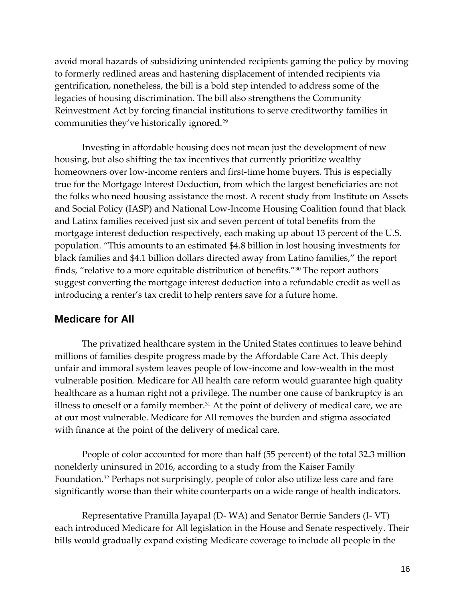avoid moral hazards of subsidizing unintended recipients gaming the policy by moving to formerly redlined areas and hastening displacement of intended recipients via gentrification, nonetheless, the bill is a bold step intended to address some of the legacies of housing discrimination. The bill also strengthens the Community Reinvestment Act by forcing financial institutions to serve creditworthy families in communities they've historically ignored.<sup>29</sup>

Investing in affordable housing does not mean just the development of new housing, but also shifting the tax incentives that currently prioritize wealthy homeowners over low-income renters and first-time home buyers. This is especially true for the Mortgage Interest Deduction, from which the largest beneficiaries are not the folks who need housing assistance the most. A recent study from Institute on Assets and Social Policy (IASP) and National Low-Income Housing Coalition found that black and Latinx families received just six and seven percent of total benefits from the mortgage interest deduction respectively, each making up about 13 percent of the U.S. population. "This amounts to an estimated \$4.8 billion in lost housing investments for black families and \$4.1 billion dollars directed away from Latino families," the report finds, "relative to a more equitable distribution of benefits."<sup>30</sup> The report authors suggest converting the mortgage interest deduction into a refundable credit as well as introducing a renter's tax credit to help renters save for a future home.

#### **Medicare for All**

The privatized healthcare system in the United States continues to leave behind millions of families despite progress made by the Affordable Care Act. This deeply unfair and immoral system leaves people of low-income and low-wealth in the most vulnerable position. Medicare for All health care reform would guarantee high quality healthcare as a human right not a privilege. The number one cause of bankruptcy is an illness to oneself or a family member. $31$  At the point of delivery of medical care, we are at our most vulnerable. Medicare for All removes the burden and stigma associated with finance at the point of the delivery of medical care.

People of color accounted for more than half (55 percent) of the total 32.3 million nonelderly uninsured in 2016, according to a study from the Kaiser Family Foundation. <sup>32</sup> Perhaps not surprisingly, people of color also utilize less care and fare significantly worse than their white counterparts on a wide range of health indicators.

Representative Pramilla Jayapal (D- WA) and Senator Bernie Sanders (I- VT) each introduced Medicare for All legislation in the House and Senate respectively. Their bills would gradually expand existing Medicare coverage to include all people in the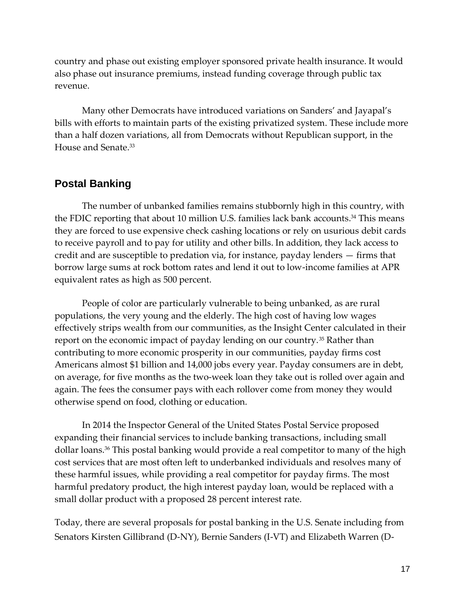country and phase out existing employer sponsored private health insurance. It would also phase out insurance premiums, instead funding coverage through public tax revenue.

Many other Democrats have introduced variations on Sanders' and Jayapal's bills with efforts to maintain parts of the existing privatized system. These include more than a half dozen variations, all from Democrats without Republican support, in the House and Senate.<sup>33</sup>

### **Postal Banking**

The number of unbanked families remains stubbornly high in this country, with the FDIC reporting that about 10 million U.S. families lack bank accounts.<sup>34</sup> This means they are forced to use expensive check cashing locations or rely on usurious debit cards to receive payroll and to pay for utility and other bills. In addition, they lack access to credit and are susceptible to predation via, for instance, payday lenders — firms that borrow large sums at rock bottom rates and lend it out to low-income families at APR equivalent rates as high as 500 percent.

People of color are particularly vulnerable to being unbanked, as are rural populations, the very young and the elderly. The high cost of having low wages effectively strips wealth from our communities, as the Insight Center calculated in their report on the economic impact of payday lending on our country.<sup>35</sup> Rather than contributing to more economic prosperity in our communities, payday firms cost Americans almost \$1 billion and 14,000 jobs every year. Payday consumers are in debt, on average, for five months as the two-week loan they take out is rolled over again and again. The fees the consumer pays with each rollover come from money they would otherwise spend on food, clothing or education.

In 2014 the Inspector General of the United States Postal Service proposed expanding their financial services to include banking transactions, including small dollar loans.<sup>36</sup> This postal banking would provide a real competitor to many of the high cost services that are most often left to underbanked individuals and resolves many of these harmful issues, while providing a real competitor for payday firms. The most harmful predatory product, the high interest payday loan, would be replaced with a small dollar product with a proposed 28 percent interest rate.

Today, there are several proposals for postal banking in the U.S. Senate including from Senators Kirsten Gillibrand (D-NY), Bernie Sanders (I-VT) and Elizabeth Warren (D-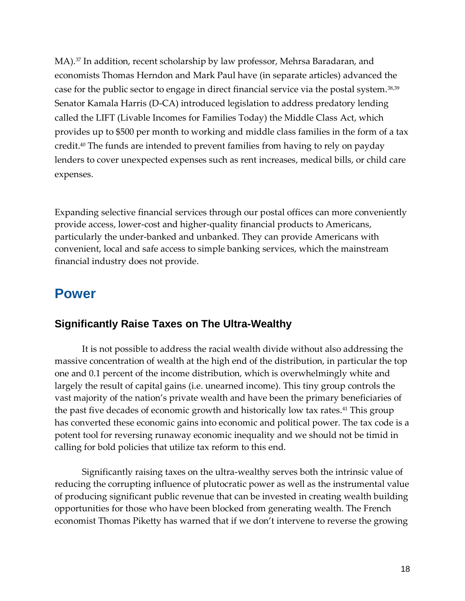MA).<sup>37</sup> In addition, recent scholarship by law professor, Mehrsa Baradaran, and economists Thomas Herndon and Mark Paul have (in separate articles) advanced the case for the public sector to engage in direct financial service via the postal system.38,39 Senator Kamala Harris (D-CA) introduced legislation to address predatory lending called the LIFT (Livable Incomes for Families Today) the Middle Class Act, which provides up to \$500 per month to working and middle class families in the form of a tax credit.<sup>40</sup> The funds are intended to prevent families from having to rely on payday lenders to cover unexpected expenses such as rent increases, medical bills, or child care expenses.

Expanding selective financial services through our postal offices can more conveniently provide access, lower-cost and higher-quality financial products to Americans, particularly the under-banked and unbanked. They can provide Americans with convenient, local and safe access to simple banking services, which the mainstream financial industry does not provide.

### <span id="page-20-0"></span>**Power**

### **Significantly Raise Taxes on The Ultra-Wealthy**

It is not possible to address the racial wealth divide without also addressing the massive concentration of wealth at the high end of the distribution, in particular the top one and 0.1 percent of the income distribution, which is overwhelmingly white and largely the result of capital gains (i.e. unearned income). This tiny group controls the vast majority of the nation's private wealth and have been the primary beneficiaries of the past five decades of economic growth and historically low tax rates.<sup>41</sup> This group has converted these economic gains into economic and political power. The tax code is a potent tool for reversing runaway economic inequality and we should not be timid in calling for bold policies that utilize tax reform to this end.

Significantly raising taxes on the ultra-wealthy serves both the intrinsic value of reducing the corrupting influence of plutocratic power as well as the instrumental value of producing significant public revenue that can be invested in creating wealth building opportunities for those who have been blocked from generating wealth. The French economist Thomas Piketty has warned that if we don't intervene to reverse the growing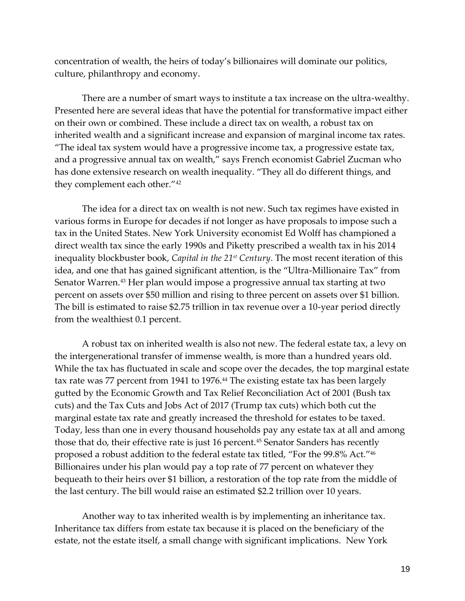concentration of wealth, the heirs of today's billionaires will dominate our politics, culture, philanthropy and economy.

There are a number of smart ways to institute a tax increase on the ultra-wealthy. Presented here are several ideas that have the potential for transformative impact either on their own or combined. These include a direct tax on wealth, a robust tax on inherited wealth and a significant increase and expansion of marginal income tax rates. "The ideal tax system would have a progressive income tax, a progressive estate tax, and a progressive annual tax on wealth," says French economist Gabriel Zucman who has done extensive research on wealth inequality. "They all do different things, and they complement each other."<sup>42</sup>

The idea for a direct tax on wealth is not new. Such tax regimes have existed in various forms in Europe for decades if not longer as have proposals to impose such a tax in the United States. New York University economist Ed Wolff has championed a direct wealth tax since the early 1990s and Piketty prescribed a wealth tax in his 2014 inequality blockbuster book, *Capital in the 21st Century*. The most recent iteration of this idea, and one that has gained significant attention, is the "Ultra-Millionaire Tax" from Senator Warren.<sup>43</sup> Her plan would impose a progressive annual tax starting at two percent on assets over \$50 million and rising to three percent on assets over \$1 billion. The bill is estimated to raise \$2.75 trillion in tax revenue over a 10-year period directly from the wealthiest 0.1 percent.

A robust tax on inherited wealth is also not new. The federal estate tax, a levy on the intergenerational transfer of immense wealth, is more than a hundred years old. While the tax has fluctuated in scale and scope over the decades, the top marginal estate tax rate was 77 percent from 1941 to 1976.<sup>44</sup> The existing estate tax has been largely gutted by the Economic Growth and Tax Relief Reconciliation Act of 2001 (Bush tax cuts) and the Tax Cuts and Jobs Act of 2017 (Trump tax cuts) which both cut the marginal estate tax rate and greatly increased the threshold for estates to be taxed. Today, less than one in every thousand households pay any estate tax at all and among those that do, their effective rate is just 16 percent.<sup>45</sup> Senator Sanders has recently proposed a robust addition to the federal estate tax titled, "For the 99.8% Act."<sup>46</sup> Billionaires under his plan would pay a top rate of 77 percent on whatever they bequeath to their heirs over \$1 billion, a restoration of the top rate from the middle of the last century. The bill would raise an estimated \$2.2 trillion over 10 years.

Another way to tax inherited wealth is by implementing an inheritance tax. Inheritance tax differs from estate tax because it is placed on the beneficiary of the estate, not the estate itself, a small change with significant implications. New York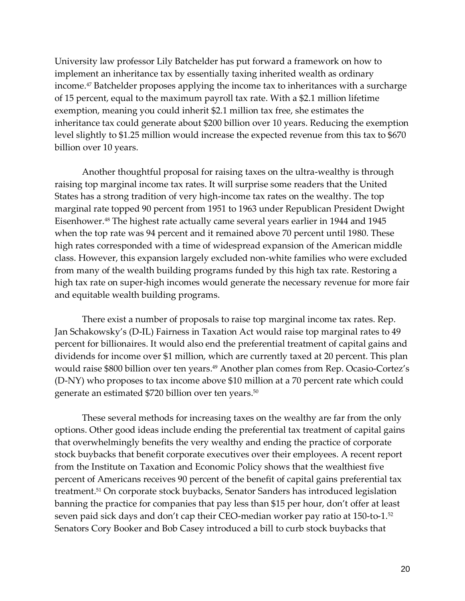University law professor Lily Batchelder has put forward a framework on how to implement an inheritance tax by essentially taxing inherited wealth as ordinary income.<sup>47</sup> Batchelder proposes applying the income tax to inheritances with a surcharge of 15 percent, equal to the maximum payroll tax rate. With a \$2.1 million lifetime exemption, meaning you could inherit \$2.1 million tax free, she estimates the inheritance tax could generate about \$200 billion over 10 years. Reducing the exemption level slightly to \$1.25 million would increase the expected revenue from this tax to \$670 billion over 10 years.

Another thoughtful proposal for raising taxes on the ultra-wealthy is through raising top marginal income tax rates. It will surprise some readers that the United States has a strong tradition of very high-income tax rates on the wealthy. The top marginal rate topped 90 percent from 1951 to 1963 under Republican President Dwight Eisenhower.<sup>48</sup> The highest rate actually came several years earlier in 1944 and 1945 when the top rate was 94 percent and it remained above 70 percent until 1980. These high rates corresponded with a time of widespread expansion of the American middle class. However, this expansion largely excluded non-white families who were excluded from many of the wealth building programs funded by this high tax rate. Restoring a high tax rate on super-high incomes would generate the necessary revenue for more fair and equitable wealth building programs.

There exist a number of proposals to raise top marginal income tax rates. Rep. Jan Schakowsky's (D-IL) Fairness in Taxation Act would raise top marginal rates to 49 percent for billionaires. It would also end the preferential treatment of capital gains and dividends for income over \$1 million, which are currently taxed at 20 percent. This plan would raise \$800 billion over ten years.<sup>49</sup> Another plan comes from Rep. Ocasio-Cortez's (D-NY) who proposes to tax income above \$10 million at a 70 percent rate which could generate an estimated \$720 billion over ten years.<sup>50</sup>

These several methods for increasing taxes on the wealthy are far from the only options. Other good ideas include ending the preferential tax treatment of capital gains that overwhelmingly benefits the very wealthy and ending the practice of corporate stock buybacks that benefit corporate executives over their employees. A recent report from the Institute on Taxation and Economic Policy shows that the wealthiest five percent of Americans receives 90 percent of the benefit of capital gains preferential tax treatment.<sup>51</sup> On corporate stock buybacks, Senator Sanders has introduced legislation banning the practice for companies that pay less than \$15 per hour, don't offer at least seven paid sick days and don't cap their CEO-median worker pay ratio at 150-to-1.<sup>52</sup> Senators Cory Booker and Bob Casey introduced a bill to curb stock buybacks that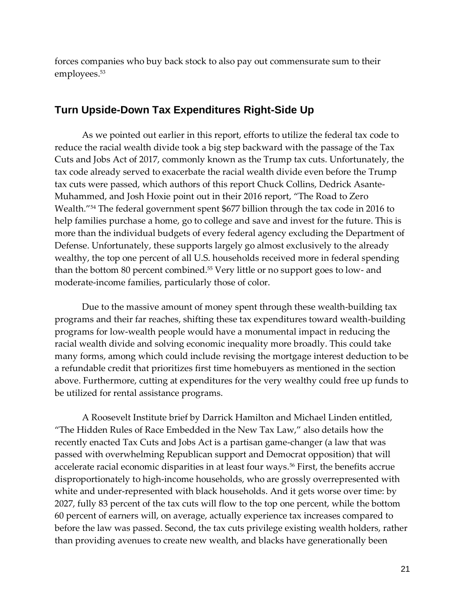forces companies who buy back stock to also pay out commensurate sum to their employees.<sup>53</sup>

#### **Turn Upside-Down Tax Expenditures Right-Side Up**

As we pointed out earlier in this report, efforts to utilize the federal tax code to reduce the racial wealth divide took a big step backward with the passage of the Tax Cuts and Jobs Act of 2017, commonly known as the Trump tax cuts. Unfortunately, the tax code already served to exacerbate the racial wealth divide even before the Trump tax cuts were passed, which authors of this report Chuck Collins, Dedrick Asante-Muhammed, and Josh Hoxie point out in their 2016 report, "The Road to Zero Wealth."<sup>54</sup> The federal government spent \$677 billion through the tax code in 2016 to help families purchase a home, go to college and save and invest for the future. This is more than the individual budgets of every federal agency excluding the Department of Defense. Unfortunately, these supports largely go almost exclusively to the already wealthy, the top one percent of all U.S. households received more in federal spending than the bottom 80 percent combined.<sup>55</sup> Very little or no support goes to low- and moderate-income families, particularly those of color.

Due to the massive amount of money spent through these wealth-building tax programs and their far reaches, shifting these tax expenditures toward wealth-building programs for low-wealth people would have a monumental impact in reducing the racial wealth divide and solving economic inequality more broadly. This could take many forms, among which could include revising the mortgage interest deduction to be a refundable credit that prioritizes first time homebuyers as mentioned in the section above. Furthermore, cutting at expenditures for the very wealthy could free up funds to be utilized for rental assistance programs.

A Roosevelt Institute brief by Darrick Hamilton and Michael Linden entitled, "The Hidden Rules of Race Embedded in the New Tax Law," also details how the recently enacted Tax Cuts and Jobs Act is a partisan game-changer (a law that was passed with overwhelming Republican support and Democrat opposition) that will accelerate racial economic disparities in at least four ways.<sup>56</sup> First, the benefits accrue disproportionately to high-income households, who are grossly overrepresented with white and under-represented with black households. And it gets worse over time: by 2027, fully 83 percent of the tax cuts will flow to the top one percent, while the bottom 60 percent of earners will, on average, actually experience tax increases compared to before the law was passed. Second, the tax cuts privilege existing wealth holders, rather than providing avenues to create new wealth, and blacks have generationally been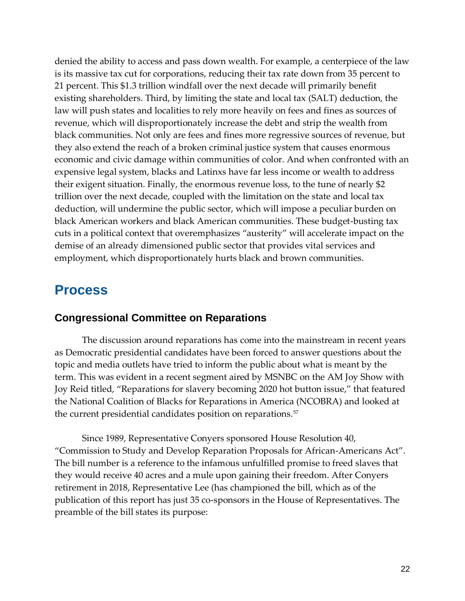denied the ability to access and pass down wealth. For example, a centerpiece of the law is its massive tax cut for corporations, reducing their tax rate down from 35 percent to 21 percent. This \$1.3 trillion windfall over the next decade will primarily benefit existing shareholders. Third, by limiting the state and local tax (SALT) deduction, the law will push states and localities to rely more heavily on fees and fines as sources of revenue, which will disproportionately increase the debt and strip the wealth from black communities. Not only are fees and fines more regressive sources of revenue, but they also extend the reach of a broken criminal justice system that causes enormous economic and civic damage within communities of color. And when confronted with an expensive legal system, blacks and Latinxs have far less income or wealth to address their exigent situation. Finally, the enormous revenue loss, to the tune of nearly \$2 trillion over the next decade, coupled with the limitation on the state and local tax deduction, will undermine the public sector, which will impose a peculiar burden on black American workers and black American communities. These budget-busting tax cuts in a political context that overemphasizes "austerity" will accelerate impact on the demise of an already dimensioned public sector that provides vital services and employment, which disproportionately hurts black and brown communities.

### <span id="page-24-0"></span>**Process**

### **Congressional Committee on Reparations**

The discussion around reparations has come into the mainstream in recent years as Democratic presidential candidates have been forced to answer questions about the topic and media outlets have tried to inform the public about what is meant by the term. This was evident in a recent segment aired by MSNBC on the AM Joy Show with Joy Reid titled, "Reparations for slavery becoming 2020 hot button issue," that featured the National Coalition of Blacks for Reparations in America (NCOBRA) and looked at the current presidential candidates position on reparations.<sup>57</sup>

Since 1989, Representative Conyers sponsored House Resolution 40, "Commission to Study and Develop Reparation Proposals for African-Americans Act". The bill number is a reference to the infamous unfulfilled promise to freed slaves that they would receive 40 acres and a mule upon gaining their freedom. After Conyers retirement in 2018, Representative Lee (has championed the bill, which as of the publication of this report has just 35 co-sponsors in the House of Representatives. The preamble of the bill states its purpose: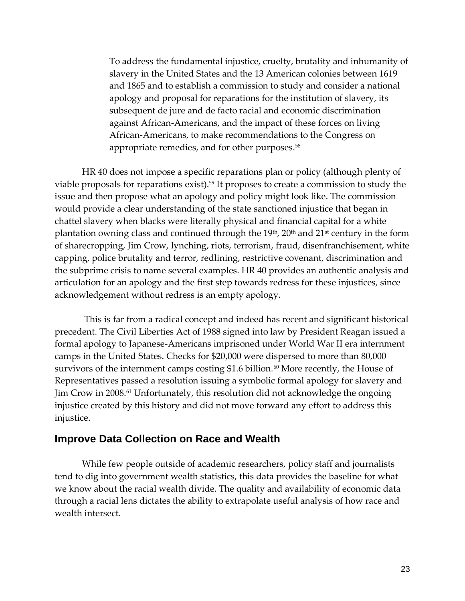To address the fundamental injustice, cruelty, brutality and inhumanity of slavery in the United States and the 13 American colonies between 1619 and 1865 and to establish a commission to study and consider a national apology and proposal for reparations for the institution of slavery, its subsequent de jure and de facto racial and economic discrimination against African-Americans, and the impact of these forces on living African-Americans, to make recommendations to the Congress on appropriate remedies, and for other purposes.<sup>58</sup>

HR 40 does not impose a specific reparations plan or policy (although plenty of viable proposals for reparations exist).<sup>59</sup> It proposes to create a commission to study the issue and then propose what an apology and policy might look like. The commission would provide a clear understanding of the state sanctioned injustice that began in chattel slavery when blacks were literally physical and financial capital for a white plantation owning class and continued through the  $19<sup>th</sup>$ ,  $20<sup>th</sup>$  and  $21<sup>st</sup>$  century in the form of sharecropping, Jim Crow, lynching, riots, terrorism, fraud, disenfranchisement, white capping, police brutality and terror, redlining, restrictive covenant, discrimination and the subprime crisis to name several examples. HR 40 provides an authentic analysis and articulation for an apology and the first step towards redress for these injustices, since acknowledgement without redress is an empty apology.

This is far from a radical concept and indeed has recent and significant historical precedent. The Civil Liberties Act of 1988 signed into law by President Reagan issued a formal apology to Japanese-Americans imprisoned under World War II era internment camps in the United States. Checks for \$20,000 were dispersed to more than 80,000 survivors of the internment camps costing \$1.6 billion. $60$  More recently, the House of Representatives passed a resolution issuing a symbolic formal apology for slavery and Jim Crow in 2008.<sup>61</sup> Unfortunately, this resolution did not acknowledge the ongoing injustice created by this history and did not move forward any effort to address this injustice.

### **Improve Data Collection on Race and Wealth**

While few people outside of academic researchers, policy staff and journalists tend to dig into government wealth statistics, this data provides the baseline for what we know about the racial wealth divide. The quality and availability of economic data through a racial lens dictates the ability to extrapolate useful analysis of how race and wealth intersect.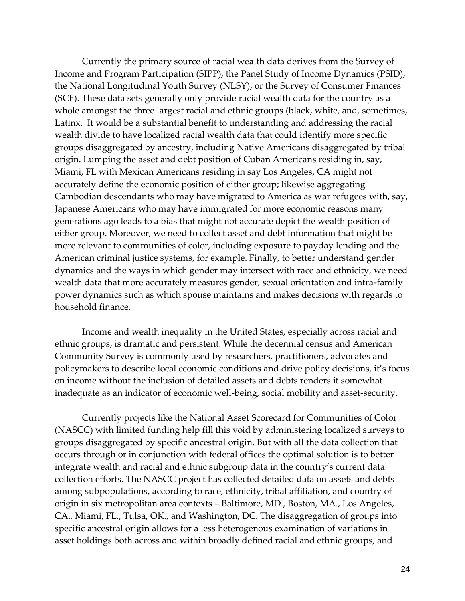Currently the primary source of racial wealth data derives from the Survey of Income and Program Participation (SIPP), the Panel Study of Income Dynamics (PSID), the National Longitudinal Youth Survey (NLSY), or the Survey of Consumer Finances (SCF). These data sets generally only provide racial wealth data for the country as a whole amongst the three largest racial and ethnic groups (black, white, and, sometimes, Latinx. It would be a substantial benefit to understanding and addressing the racial wealth divide to have localized racial wealth data that could identify more specific groups disaggregated by ancestry, including Native Americans disaggregated by tribal origin. Lumping the asset and debt position of Cuban Americans residing in, say, Miami, FL with Mexican Americans residing in say Los Angeles, CA might not accurately define the economic position of either group; likewise aggregating Cambodian descendants who may have migrated to America as war refugees with, say, Japanese Americans who may have immigrated for more economic reasons many generations ago leads to a bias that might not accurate depict the wealth position of either group. Moreover, we need to collect asset and debt information that might be more relevant to communities of color, including exposure to payday lending and the American criminal justice systems, for example. Finally, to better understand gender dynamics and the ways in which gender may intersect with race and ethnicity, we need wealth data that more accurately measures gender, sexual orientation and intra-family power dynamics such as which spouse maintains and makes decisions with regards to household finance.

Income and wealth inequality in the United States, especially across racial and ethnic groups, is dramatic and persistent. While the decennial census and American Community Survey is commonly used by researchers, practitioners, advocates and policymakers to describe local economic conditions and drive policy decisions, it's focus on income without the inclusion of detailed assets and debts renders it somewhat inadequate as an indicator of economic well-being, social mobility and asset-security.

Currently projects like the National Asset Scorecard for Communities of Color (NASCC) with limited funding help fill this void by administering localized surveys to groups disaggregated by specific ancestral origin. But with all the data collection that occurs through or in conjunction with federal offices the optimal solution is to better integrate wealth and racial and ethnic subgroup data in the country's current data collection efforts. The NASCC project has collected detailed data on assets and debts among subpopulations, according to race, ethnicity, tribal affiliation, and country of origin in six metropolitan area contexts – Baltimore, MD., Boston, MA., Los Angeles, CA., Miami, FL., Tulsa, OK., and Washington, DC. The disaggregation of groups into specific ancestral origin allows for a less heterogenous examination of variations in asset holdings both across and within broadly defined racial and ethnic groups, and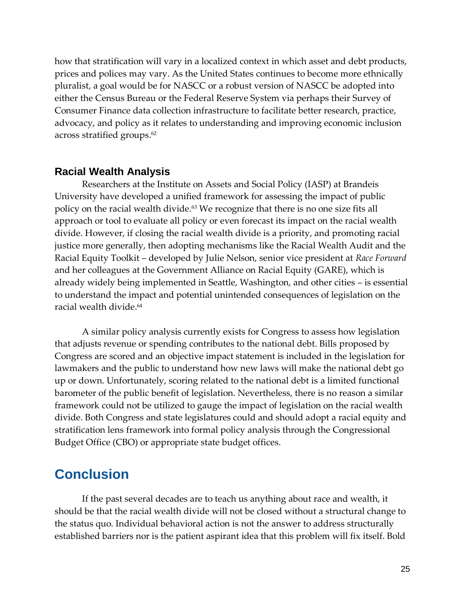how that stratification will vary in a localized context in which asset and debt products, prices and polices may vary. As the United States continues to become more ethnically pluralist, a goal would be for NASCC or a robust version of NASCC be adopted into either the Census Bureau or the Federal Reserve System via perhaps their Survey of Consumer Finance data collection infrastructure to facilitate better research, practice, advocacy, and policy as it relates to understanding and improving economic inclusion across stratified groups.<sup>62</sup>

#### **Racial Wealth Analysis**

Researchers at the Institute on Assets and Social Policy (IASP) at Brandeis University have developed a unified framework for assessing the impact of public policy on the racial wealth divide.<sup>63</sup> We recognize that there is no one size fits all approach or tool to evaluate all policy or even forecast its impact on the racial wealth divide. However, if closing the racial wealth divide is a priority, and promoting racial justice more generally, then adopting mechanisms like the Racial Wealth Audit and the Racial Equity Toolkit – developed by Julie Nelson, senior vice president at *Race Forward* and her colleagues at the Government Alliance on Racial Equity (GARE), which is already widely being implemented in Seattle, Washington, and other cities – is essential to understand the impact and potential unintended consequences of legislation on the racial wealth divide.<sup>64</sup>

A similar policy analysis currently exists for Congress to assess how legislation that adjusts revenue or spending contributes to the national debt. Bills proposed by Congress are scored and an objective impact statement is included in the legislation for lawmakers and the public to understand how new laws will make the national debt go up or down. Unfortunately, scoring related to the national debt is a limited functional barometer of the public benefit of legislation. Nevertheless, there is no reason a similar framework could not be utilized to gauge the impact of legislation on the racial wealth divide. Both Congress and state legislatures could and should adopt a racial equity and stratification lens framework into formal policy analysis through the Congressional Budget Office (CBO) or appropriate state budget offices.

### <span id="page-27-0"></span>**Conclusion**

If the past several decades are to teach us anything about race and wealth, it should be that the racial wealth divide will not be closed without a structural change to the status quo. Individual behavioral action is not the answer to address structurally established barriers nor is the patient aspirant idea that this problem will fix itself. Bold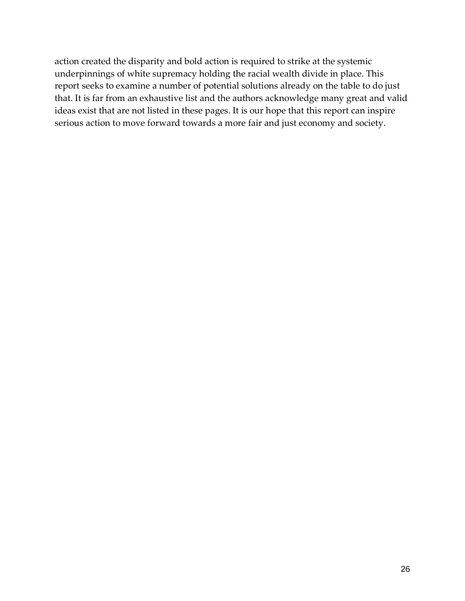action created the disparity and bold action is required to strike at the systemic underpinnings of white supremacy holding the racial wealth divide in place. This report seeks to examine a number of potential solutions already on the table to do just that. It is far from an exhaustive list and the authors acknowledge many great and valid ideas exist that are not listed in these pages. It is our hope that this report can inspire serious action to move forward towards a more fair and just economy and society.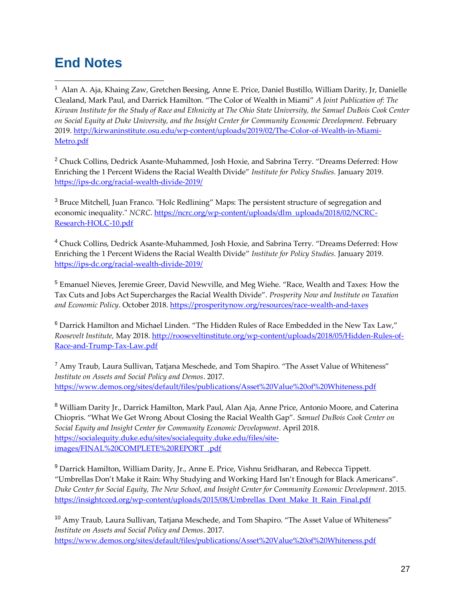### <span id="page-29-0"></span>**End Notes**

 $\overline{a}$ 

<sup>1</sup> Alan A. Aja, Khaing Zaw, Gretchen Beesing, Anne E. Price, Daniel Bustillo, William Darity, Jr, Danielle Clealand, Mark Paul, and Darrick Hamilton. "The Color of Wealth in Miami" *A Joint Publication of: The Kirwan Institute for the Study of Race and Ethnicity at The Ohio State University, the Samuel DuBois Cook Center on Social Equity at Duke University, and the Insight Center for Community Economic Development.* February 2019. [http://kirwaninstitute.osu.edu/wp-content/uploads/2019/02/The-Color-of-Wealth-in-Miami-](http://kirwaninstitute.osu.edu/wp-content/uploads/2019/02/The-Color-of-Wealth-in-Miami-Metro.pdf)[Metro.pdf](http://kirwaninstitute.osu.edu/wp-content/uploads/2019/02/The-Color-of-Wealth-in-Miami-Metro.pdf)

<sup>2</sup> Chuck Collins, Dedrick Asante-Muhammed, Josh Hoxie, and Sabrina Terry. "Dreams Deferred: How Enriching the 1 Percent Widens the Racial Wealth Divide" *Institute for Policy Studies.* January 2019. <https://ips-dc.org/racial-wealth-divide-2019/>

<sup>3</sup> Bruce Mitchell, Juan Franco. "Holc Redlining" Maps: The persistent structure of segregation and economic inequality." *NCRC*. [https://ncrc.org/wp-content/uploads/dlm\\_uploads/2018/02/NCRC-](https://ncrc.org/wp-content/uploads/dlm_uploads/2018/02/NCRC-Research-HOLC-10.pdf)[Research-HOLC-10.pdf](https://ncrc.org/wp-content/uploads/dlm_uploads/2018/02/NCRC-Research-HOLC-10.pdf)

<sup>4</sup> Chuck Collins, Dedrick Asante-Muhammed, Josh Hoxie, and Sabrina Terry. "Dreams Deferred: How Enriching the 1 Percent Widens the Racial Wealth Divide" *Institute for Policy Studies.* January 2019. <https://ips-dc.org/racial-wealth-divide-2019/>

<sup>5</sup> Emanuel Nieves, Jeremie Greer, David Newville, and Meg Wiehe. "Race, Wealth and Taxes: How the Tax Cuts and Jobs Act Supercharges the Racial Wealth Divide". *Prosperity Now and Institute on Taxation and Economic Policy*. October 2018.<https://prosperitynow.org/resources/race-wealth-and-taxes>

<sup>6</sup> Darrick Hamilton and Michael Linden. "The Hidden Rules of Race Embedded in the New Tax Law," *Roosevelt Institute,* May 2018. [http://rooseveltinstitute.org/wp-content/uploads/2018/05/Hidden-Rules-of-](http://rooseveltinstitute.org/wp-content/uploads/2018/05/Hidden-Rules-of-Race-and-Trump-Tax-Law.pdf)[Race-and-Trump-Tax-Law.pdf](http://rooseveltinstitute.org/wp-content/uploads/2018/05/Hidden-Rules-of-Race-and-Trump-Tax-Law.pdf)

<sup>7</sup> Amy Traub, Laura Sullivan, Tatjana Meschede, and Tom Shapiro. "The Asset Value of Whiteness" *Institute on Assets and Social Policy and Demos*. 2017. <https://www.demos.org/sites/default/files/publications/Asset%20Value%20of%20Whiteness.pdf>

<sup>8</sup> William Darity Jr., Darrick Hamilton, Mark Paul, Alan Aja, Anne Price, Antonio Moore, and Caterina Chiopris. "What We Get Wrong About Closing the Racial Wealth Gap". *Samuel DuBois Cook Center on Social Equity and Insight Center for Community Economic Development*. April 2018. [https://socialequity.duke.edu/sites/socialequity.duke.edu/files/site](https://socialequity.duke.edu/sites/socialequity.duke.edu/files/site-images/FINAL%20COMPLETE%20REPORT_.pdf)[images/FINAL%20COMPLETE%20REPORT\\_.pdf](https://socialequity.duke.edu/sites/socialequity.duke.edu/files/site-images/FINAL%20COMPLETE%20REPORT_.pdf)

<sup>9</sup> Darrick Hamilton, William Darity, Jr., Anne E. Price, Vishnu Sridharan, and Rebecca Tippett. "Umbrellas Don't Make it Rain: Why Studying and Working Hard Isn't Enough for Black Americans". *Duke Center for Social Equity, The New School, and Insight Center for Community Economic Development*. 2015. [https://insightcced.org/wp-content/uploads/2015/08/Umbrellas\\_Dont\\_Make\\_It\\_Rain\\_Final.pdf](https://insightcced.org/wp-content/uploads/2015/08/Umbrellas_Dont_Make_It_Rain_Final.pdf)

<sup>10</sup> Amy Traub, Laura Sullivan, Tatjana Meschede, and Tom Shapiro. "The Asset Value of Whiteness" *Institute on Assets and Social Policy and Demos*. 2017. <https://www.demos.org/sites/default/files/publications/Asset%20Value%20of%20Whiteness.pdf>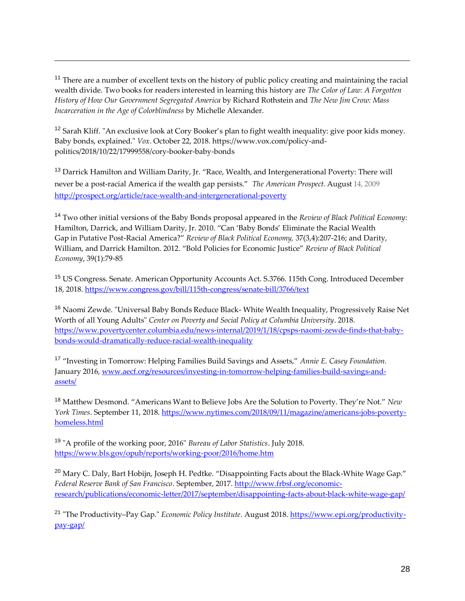<sup>11</sup> There are a number of excellent texts on the history of public policy creating and maintaining the racial wealth divide. Two books for readers interested in learning this history are *The Color of Law: A Forgotten History of How Our Government Segregated America* by Richard Rothstein and *The New Jim Crow: Mass Incarceration in the Age of Colorblindness* by Michelle Alexander.

<sup>12</sup> Sarah Kliff. "An exclusive look at Cory Booker's plan to fight wealth inequality: give poor kids money. Baby bonds, explained." *Vox*. October 22, 2018. https://www.vox.com/policy-andpolitics/2018/10/22/17999558/cory-booker-baby-bonds

<sup>13</sup> Darrick Hamilton and William Darity, Jr. "Race, Wealth, and Intergenerational Poverty: There will never be a post-racial America if the wealth gap persists." *The American Prospect.* August 14, 2009 <http://prospect.org/article/race-wealth-and-intergenerational-poverty>

<sup>14</sup> Two other initial versions of the Baby Bonds proposal appeared in the *Review of Black Political Economy*: Hamilton, Darrick, and William Darity, Jr. 2010. "Can 'Baby Bonds' Eliminate the Racial Wealth Gap in Putative Post-Racial America?" *Review of Black Political Economy,* 37(3,4):207-216; and Darity, William, and Darrick Hamilton. 2012. "Bold Policies for Economic Justice" *Review of Black Political Economy*, 39(1):79-85

<sup>15</sup> US Congress. Senate. American Opportunity Accounts Act. S.3766. 115th Cong. Introduced December 18, 2018.<https://www.congress.gov/bill/115th-congress/senate-bill/3766/text>

<sup>16</sup> Naomi Zewde. "Universal Baby Bonds Reduce Black- White Wealth Inequality, Progressively Raise Net Worth of all Young Adults" *Center on Poverty and Social Policy at Columbia University*. 2018. [https://www.povertycenter.columbia.edu/news-internal/2019/1/18/cpsps-naomi-zewde-finds-that-baby](https://www.povertycenter.columbia.edu/news-internal/2019/1/18/cpsps-naomi-zewde-finds-that-baby-bonds-would-dramatically-reduce-racial-wealth-inequality)[bonds-would-dramatically-reduce-racial-wealth-inequality](https://www.povertycenter.columbia.edu/news-internal/2019/1/18/cpsps-naomi-zewde-finds-that-baby-bonds-would-dramatically-reduce-racial-wealth-inequality)

<sup>17</sup> "Investing in Tomorrow: Helping Families Build Savings and Assets," *Annie E. Casey Foundation.* January 2016, [www.aecf.org/resources/investing-in-tomorrow-helping-families-build-savings-and](http://www.aecf.org/resources/investing-in-tomorrow-helping-families-build-savings-and-%20assets/)[assets/](http://www.aecf.org/resources/investing-in-tomorrow-helping-families-build-savings-and-%20assets/)

<sup>18</sup> Matthew Desmond. "Americans Want to Believe Jobs Are the Solution to Poverty. They're Not." *New York Times*. September 11, 2018. [https://www.nytimes.com/2018/09/11/magazine/americans-jobs-poverty](https://www.nytimes.com/2018/09/11/magazine/americans-jobs-poverty-homeless.html)[homeless.html](https://www.nytimes.com/2018/09/11/magazine/americans-jobs-poverty-homeless.html)

<sup>19</sup> "A profile of the working poor, 2016" *Bureau of Labor Statistics*. July 2018. <https://www.bls.gov/opub/reports/working-poor/2016/home.htm>

<sup>20</sup> Mary C. Daly, Bart Hobijn, Joseph H. Pedtke. "Disappointing Facts about the Black-White Wage Gap." *Federal Reserve Bank of San Francisco*. September, 2017. [http://www.frbsf.org/economic](http://www.frbsf.org/economic-research/publications/economic-letter/2017/september/disappointing-facts-about-black-white-wage-gap/)[research/publications/economic-letter/2017/september/disappointing-facts-about-black-white-wage-gap/](http://www.frbsf.org/economic-research/publications/economic-letter/2017/september/disappointing-facts-about-black-white-wage-gap/)

<sup>21</sup> "The Productivity–Pay Gap." *Economic Policy Institute*. August 2018. [https://www.epi.org/productivity](https://www.epi.org/productivity-pay-gap/)[pay-gap/](https://www.epi.org/productivity-pay-gap/)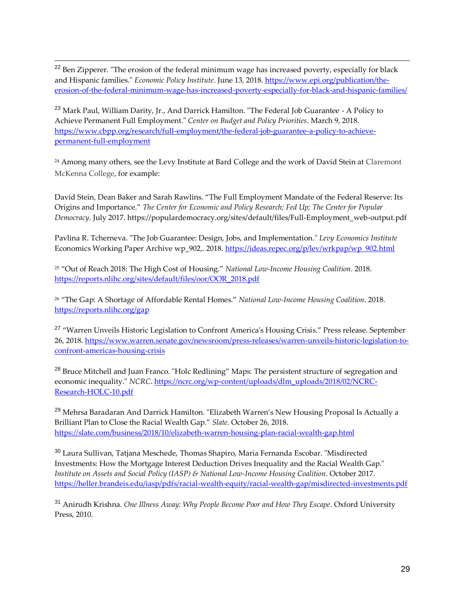<sup>22</sup> Ben Zipperer. "The erosion of the federal minimum wage has increased poverty, especially for black and Hispanic families." *Economic Policy Institute*. June 13, 2018. [https://www.epi.org/publication/the](https://www.epi.org/publication/the-erosion-of-the-federal-minimum-wage-has-increased-poverty-especially-for-black-and-hispanic-families/)[erosion-of-the-federal-minimum-wage-has-increased-poverty-especially-for-black-and-hispanic-families/](https://www.epi.org/publication/the-erosion-of-the-federal-minimum-wage-has-increased-poverty-especially-for-black-and-hispanic-families/)

<sup>23</sup> Mark Paul, William Darity, Jr., And Darrick Hamilton. "The Federal Job Guarantee - A Policy to Achieve Permanent Full Employment." *Center on Budget and Policy Priorities*. March 9, 2018. [https://www.cbpp.org/research/full-employment/the-federal-job-guarantee-a-policy-to-achieve](https://www.cbpp.org/research/full-employment/the-federal-job-guarantee-a-policy-to-achieve-permanent-full-employment)[permanent-full-employment](https://www.cbpp.org/research/full-employment/the-federal-job-guarantee-a-policy-to-achieve-permanent-full-employment)

<sup>24</sup> Among many others, see the Levy Institute at Bard College and the work of David Stein at Claremont McKenna College, for example:

David Stein, Dean Baker and Sarah Rawlins. "The Full Employment Mandate of the Federal Reserve: Its Origins and Importance." *The Center for Economic and Policy Research; Fed Up; The Center for Popular Democracy.* July 2017. https://populardemocracy.org/sites/default/files/Full-Employment\_web-output.pdf

Pavlina R. Tcherneva. "The Job Guarantee: Design, Jobs, and Implementation." *Levy Economics Institute* Economics Working Paper Archive wp\_902,. 2018. [https://ideas.repec.org/p/lev/wrkpap/wp\\_902.html](https://ideas.repec.org/p/lev/wrkpap/wp_902.html)

<sup>25</sup> "Out of Reach 2018: The High Cost of Housing." *National Low-Income Housing Coalition*. 2018. [https://reports.nlihc.org/sites/default/files/oor/OOR\\_2018.pdf](https://reports.nlihc.org/sites/default/files/oor/OOR_2018.pdf)

<sup>26</sup> "The Gap: A Shortage of Affordable Rental Homes." *National Low-Income Housing Coalition*. 2018. <https://reports.nlihc.org/gap>

<sup>27</sup> "Warren Unveils Historic Legislation to Confront America's Housing Crisis." Press release. September 26, 2018. [https://www.warren.senate.gov/newsroom/press-releases/warren-unveils-historic-legislation-to](https://www.warren.senate.gov/newsroom/press-releases/warren-unveils-historic-legislation-to-confront-americas-housing-crisis)[confront-americas-housing-crisis](https://www.warren.senate.gov/newsroom/press-releases/warren-unveils-historic-legislation-to-confront-americas-housing-crisis)

<sup>28</sup> Bruce Mitchell and Juan Franco. "Holc Redlining" Maps: The persistent structure of segregation and economic inequality." *NCRC*. [https://ncrc.org/wp-content/uploads/dlm\\_uploads/2018/02/NCRC-](https://ncrc.org/wp-content/uploads/dlm_uploads/2018/02/NCRC-Research-HOLC-10.pdf)[Research-HOLC-10.pdf](https://ncrc.org/wp-content/uploads/dlm_uploads/2018/02/NCRC-Research-HOLC-10.pdf)

<sup>29</sup> Mehrsa Baradaran And Darrick Hamilton. "Elizabeth Warren's New Housing Proposal Is Actually a Brilliant Plan to Close the Racial Wealth Gap." *Slate*. October 26, 2018. <https://slate.com/business/2018/10/elizabeth-warren-housing-plan-racial-wealth-gap.html>

<sup>30</sup> Laura Sullivan, Tatjana Meschede, Thomas Shapiro, Maria Fernanda Escobar. "Misdirected Investments: How the Mortgage Interest Deduction Drives Inequality and the Racial Wealth Gap." *Institute on Assets and Social Policy (IASP) & National Low-Income Housing Coalition*. October 2017. <https://heller.brandeis.edu/iasp/pdfs/racial-wealth-equity/racial-wealth-gap/misdirected-investments.pdf>

<sup>31</sup> Anirudh Krishna. *One Illness Away: Why People Become Poor and How They Escape*. Oxford University Press, 2010.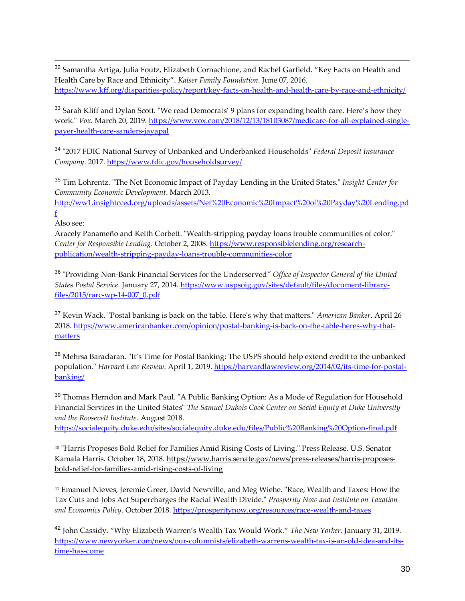<sup>32</sup> Samantha Artiga, Julia Foutz, Elizabeth Cornachione, and Rachel Garfield. "Key Facts on Health and Health Care by Race and Ethnicity". *Kaiser Family Foundation*. June 07, 2016. <https://www.kff.org/disparities-policy/report/key-facts-on-health-and-health-care-by-race-and-ethnicity/>

<sup>33</sup> Sarah Kliff and Dylan Scott. "We read Democrats' 9 plans for expanding health care. Here's how they work." *Vox.* March 20, 2019. [https://www.vox.com/2018/12/13/18103087/medicare-for-all-explained-single](https://www.vox.com/2018/12/13/18103087/medicare-for-all-explained-single-payer-health-care-sanders-jayapal)[payer-health-care-sanders-jayapal](https://www.vox.com/2018/12/13/18103087/medicare-for-all-explained-single-payer-health-care-sanders-jayapal)

<sup>34</sup> "2017 FDIC National Survey of Unbanked and Underbanked Households" *Federal Deposit Insurance Company*. 2017.<https://www.fdic.gov/householdsurvey/>

<sup>35</sup> Tim Lohrentz. "The Net Economic Impact of Payday Lending in the United States." *Insight Center for Community Economic Development*. March 2013.

[http://ww1.insightcced.org/uploads/assets/Net%20Economic%20Impact%20of%20Payday%20Lending.pd](http://ww1.insightcced.org/uploads/assets/Net%20Economic%20Impact%20of%20Payday%20Lending.pdf) [f](http://ww1.insightcced.org/uploads/assets/Net%20Economic%20Impact%20of%20Payday%20Lending.pdf)

Also see:

Aracely Panameño and Keith Corbett. "Wealth-stripping payday loans trouble communities of color." *Center for Responsible Lending*. October 2, 2008. [https://www.responsiblelending.org/research](https://www.responsiblelending.org/research-publication/wealth-stripping-payday-loans-trouble-communities-color)[publication/wealth-stripping-payday-loans-trouble-communities-color](https://www.responsiblelending.org/research-publication/wealth-stripping-payday-loans-trouble-communities-color)

<sup>36</sup> "Providing Non-Bank Financial Services for the Underserved*" Office of Inspector General of the United States Postal Service.* January 27, 2014[. https://www.uspsoig.gov/sites/default/files/document-library](https://www.uspsoig.gov/sites/default/files/document-library-files/2015/rarc-wp-14-007_0.pdf)[files/2015/rarc-wp-14-007\\_0.pdf](https://www.uspsoig.gov/sites/default/files/document-library-files/2015/rarc-wp-14-007_0.pdf)

<sup>37</sup> Kevin Wack. "Postal banking is back on the table. Here's why that matters." *American Banker*. April 26 2018. [https://www.americanbanker.com/opinion/postal-banking-is-back-on-the-table-heres-why-that](https://www.americanbanker.com/opinion/postal-banking-is-back-on-the-table-heres-why-that-matters)[matters](https://www.americanbanker.com/opinion/postal-banking-is-back-on-the-table-heres-why-that-matters)

<sup>38</sup> Mehrsa Baradaran. "It's Time for Postal Banking: The USPS should help extend credit to the unbanked population." *Harvard Law Review*. April 1, 2019. [https://harvardlawreview.org/2014/02/its-time-for-postal](https://harvardlawreview.org/2014/02/its-time-for-postal-banking/)[banking/](https://harvardlawreview.org/2014/02/its-time-for-postal-banking/)

<sup>39</sup> Thomas Herndon and Mark Paul. "A Public Banking Option: As a Mode of Regulation for Household Financial Services in the United States" *The Samuel Dubois Cook Center on Social Equity at Duke University and the Roosevelt Institute.* August 2018. <https://socialequity.duke.edu/sites/socialequity.duke.edu/files/Public%20Banking%20Option-final.pdf>

<sup>40</sup> "Harris Proposes Bold Relief for Families Amid Rising Costs of Living." Press Release. U.S. Senator Kamala Harris. October 18, 2018. [https://www.harris.senate.gov/news/press-releases/harris-proposes](https://www.harris.senate.gov/news/press-releases/harris-proposes-bold-relief-for-families-amid-rising-costs-of-living)[bold-relief-for-families-amid-rising-costs-of-living](https://www.harris.senate.gov/news/press-releases/harris-proposes-bold-relief-for-families-amid-rising-costs-of-living)

<sup>41</sup> Emanuel Nieves, Jeremie Greer, David Newville, and Meg Wiehe. "Race, Wealth and Taxes: How the Tax Cuts and Jobs Act Supercharges the Racial Wealth Divide." *Prosperity Now and Institute on Taxation and Economics Policy*. October 2018.<https://prosperitynow.org/resources/race-wealth-and-taxes>

<sup>42</sup> John Cassidy. "Why Elizabeth Warren's Wealth Tax Would Work." *The New Yorker*. January 31, 2019. [https://www.newyorker.com/news/our-columnists/elizabeth-warrens-wealth-tax-is-an-old-idea-and-its](https://www.newyorker.com/news/our-columnists/elizabeth-warrens-wealth-tax-is-an-old-idea-and-its-time-has-come)[time-has-come](https://www.newyorker.com/news/our-columnists/elizabeth-warrens-wealth-tax-is-an-old-idea-and-its-time-has-come)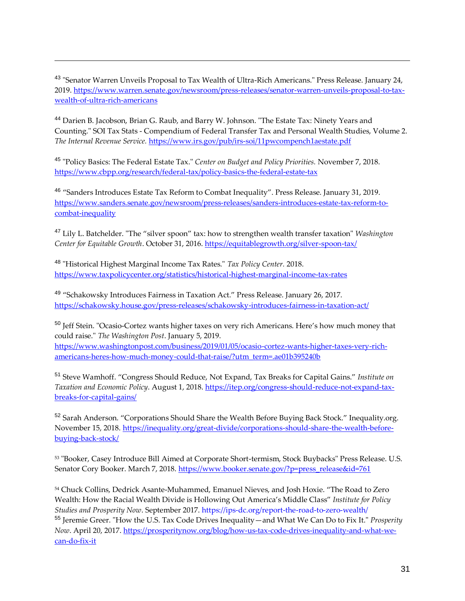<sup>43</sup> "Senator Warren Unveils Proposal to Tax Wealth of Ultra-Rich Americans." Press Release. January 24, 2019. [https://www.warren.senate.gov/newsroom/press-releases/senator-warren-unveils-proposal-to-tax](https://www.warren.senate.gov/newsroom/press-releases/senator-warren-unveils-proposal-to-tax-wealth-of-ultra-rich-americans)[wealth-of-ultra-rich-americans](https://www.warren.senate.gov/newsroom/press-releases/senator-warren-unveils-proposal-to-tax-wealth-of-ultra-rich-americans)

<sup>44</sup> Darien B. Jacobson, Brian G. Raub, and Barry W. Johnson. "The Estate Tax: Ninety Years and Counting." SOI Tax Stats - Compendium of Federal Transfer Tax and Personal Wealth Studies, Volume 2. *The Internal Revenue Service.* <https://www.irs.gov/pub/irs-soi/11pwcompench1aestate.pdf>

<sup>45</sup> "Policy Basics: The Federal Estate Tax." *Center on Budget and Policy Priorities.* November 7, 2018. <https://www.cbpp.org/research/federal-tax/policy-basics-the-federal-estate-tax>

<sup>46</sup> "Sanders Introduces Estate Tax Reform to Combat Inequality". Press Release. January 31, 2019. [https://www.sanders.senate.gov/newsroom/press-releases/sanders-introduces-estate-tax-reform-to](https://www.sanders.senate.gov/newsroom/press-releases/sanders-introduces-estate-tax-reform-to-combat-inequality)[combat-inequality](https://www.sanders.senate.gov/newsroom/press-releases/sanders-introduces-estate-tax-reform-to-combat-inequality)

<sup>47</sup> Lily L. Batchelder. "The "silver spoon" tax: how to strengthen wealth transfer taxation" *Washington Center for Equitable Growth*. October 31, 2016.<https://equitablegrowth.org/silver-spoon-tax/>

<sup>48</sup> "Historical Highest Marginal Income Tax Rates." *Tax Policy Center.* 2018. <https://www.taxpolicycenter.org/statistics/historical-highest-marginal-income-tax-rates>

<sup>49</sup> "Schakowsky Introduces Fairness in Taxation Act." Press Release. January 26, 2017. <https://schakowsky.house.gov/press-releases/schakowsky-introduces-fairness-in-taxation-act/>

<sup>50</sup> Jeff Stein. "Ocasio-Cortez wants higher taxes on very rich Americans. Here's how much money that could raise." *The Washington Post*. January 5, 2019. [https://www.washingtonpost.com/business/2019/01/05/ocasio-cortez-wants-higher-taxes-very-rich](https://www.washingtonpost.com/business/2019/01/05/ocasio-cortez-wants-higher-taxes-very-rich-americans-heres-how-much-money-could-that-raise/?utm_term=.ae01b395240b)[americans-heres-how-much-money-could-that-raise/?utm\\_term=.ae01b395240b](https://www.washingtonpost.com/business/2019/01/05/ocasio-cortez-wants-higher-taxes-very-rich-americans-heres-how-much-money-could-that-raise/?utm_term=.ae01b395240b)

<sup>51</sup> Steve Wamhoff. "Congress Should Reduce, Not Expand, Tax Breaks for Capital Gains." *Institute on Taxation and Economic Policy*. August 1, 2018. [https://itep.org/congress-should-reduce-not-expand-tax](https://itep.org/congress-should-reduce-not-expand-tax-breaks-for-capital-gains/)[breaks-for-capital-gains/](https://itep.org/congress-should-reduce-not-expand-tax-breaks-for-capital-gains/)

<sup>52</sup> Sarah Anderson. "Corporations Should Share the Wealth Before Buying Back Stock." Inequality.org. November 15, 2018. [https://inequality.org/great-divide/corporations-should-share-the-wealth-before](https://inequality.org/great-divide/corporations-should-share-the-wealth-before-buying-back-stock/)[buying-back-stock/](https://inequality.org/great-divide/corporations-should-share-the-wealth-before-buying-back-stock/)

<sup>53</sup> "Booker, Casey Introduce Bill Aimed at Corporate Short-termism, Stock Buybacks" Press Release. U.S. Senator Cory Booker. March 7, 2018. [https://www.booker.senate.gov/?p=press\\_release&id=761](https://www.booker.senate.gov/?p=press_release&id=761)

<sup>54</sup> Chuck Collins, Dedrick Asante-Muhammed, Emanuel Nieves, and Josh Hoxie. "The Road to Zero Wealth: How the Racial Wealth Divide is Hollowing Out America's Middle Class" *Institute for Policy Studies and Prosperity Now*. September 2017. https://ips-dc.org/report-the-road-to-zero-wealth/ <sup>55</sup> Jeremie Greer. "How the U.S. Tax Code Drives Inequality—and What We Can Do to Fix It." *Prosperity Now*. April 20, 2017. [https://prosperitynow.org/blog/how-us-tax-code-drives-inequality-and-what-we](https://prosperitynow.org/blog/how-us-tax-code-drives-inequality-and-what-we-can-do-fix-it)[can-do-fix-it](https://prosperitynow.org/blog/how-us-tax-code-drives-inequality-and-what-we-can-do-fix-it)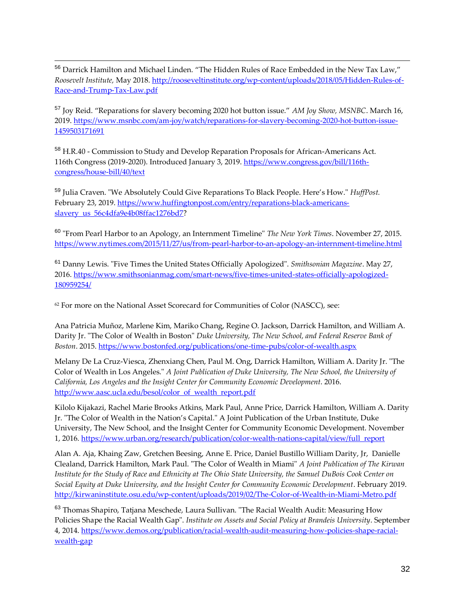<sup>56</sup> Darrick Hamilton and Michael Linden. "The Hidden Rules of Race Embedded in the New Tax Law," *Roosevelt Institute,* May 2018. [http://rooseveltinstitute.org/wp-content/uploads/2018/05/Hidden-Rules-of-](http://rooseveltinstitute.org/wp-content/uploads/2018/05/Hidden-Rules-of-Race-and-Trump-Tax-Law.pdf)[Race-and-Trump-Tax-Law.pdf](http://rooseveltinstitute.org/wp-content/uploads/2018/05/Hidden-Rules-of-Race-and-Trump-Tax-Law.pdf)

<sup>57</sup> Joy Reid. "Reparations for slavery becoming 2020 hot button issue." *AM Joy Show, MSNBC*. March 16, 2019. [https://www.msnbc.com/am-joy/watch/reparations-for-slavery-becoming-2020-hot-button-issue-](https://www.msnbc.com/am-joy/watch/reparations-for-slavery-becoming-2020-hot-button-issue-1459503171691)[1459503171691](https://www.msnbc.com/am-joy/watch/reparations-for-slavery-becoming-2020-hot-button-issue-1459503171691)

<sup>58</sup> H.R.40 - Commission to Study and Develop Reparation Proposals for African-Americans Act. 116th Congress (2019-2020). Introduced January 3, 2019. [https://www.congress.gov/bill/116th](https://www.congress.gov/bill/116th-congress/house-bill/40/text)[congress/house-bill/40/text](https://www.congress.gov/bill/116th-congress/house-bill/40/text)

<sup>59</sup> Julia Craven. "We Absolutely Could Give Reparations To Black People. Here's How." *HuffPost.* February 23, 2019. [https://www.huffingtonpost.com/entry/reparations-black-americans](https://www.huffingtonpost.com/entry/reparations-black-americans-slavery_us_56c4dfa9e4b08ffac1276bd7)[slavery\\_us\\_56c4dfa9e4b08ffac1276bd7?](https://www.huffingtonpost.com/entry/reparations-black-americans-slavery_us_56c4dfa9e4b08ffac1276bd7)

<sup>60</sup> "From Pearl Harbor to an Apology, an Internment Timeline" *The New York Times*. November 27, 2015. <https://www.nytimes.com/2015/11/27/us/from-pearl-harbor-to-an-apology-an-internment-timeline.html>

<sup>61</sup> Danny Lewis. "Five Times the United States Officially Apologized". *Smithsonian Magazine*. May 27, 2016. [https://www.smithsonianmag.com/smart-news/five-times-united-states-officially-apologized-](https://www.smithsonianmag.com/smart-news/five-times-united-states-officially-apologized-180959254/)[180959254/](https://www.smithsonianmag.com/smart-news/five-times-united-states-officially-apologized-180959254/)

 $62$  For more on the National Asset Scorecard for Communities of Color (NASCC), see:

Ana Patricia Muñoz, Marlene Kim, Mariko Chang, Regine O. Jackson, Darrick Hamilton, and William A. Darity Jr. "The Color of Wealth in Boston" *Duke University, The New School, and Federal Reserve Bank of Boston*. 2015.<https://www.bostonfed.org/publications/one-time-pubs/color-of-wealth.aspx>

Melany De La Cruz-Viesca, Zhenxiang Chen, Paul M. Ong, Darrick Hamilton, William A. Darity Jr. "The Color of Wealth in Los Angeles." *A Joint Publication of Duke University, The New School, the University of California, Los Angeles and the Insight Center for Community Economic Development*. 2016. [http://www.aasc.ucla.edu/besol/color\\_of\\_wealth\\_report.pdf](http://www.aasc.ucla.edu/besol/color_of_wealth_report.pdf)

Kilolo Kijakazi, Rachel Marie Brooks Atkins, Mark Paul, Anne Price, Darrick Hamilton, William A. Darity Jr. "The Color of Wealth in the Nation's Capital." A Joint Publication of the Urban Institute, Duke University, The New School, and the Insight Center for Community Economic Development. November 1, 2016. [https://www.urban.org/research/publication/color-wealth-nations-capital/view/full\\_report](https://www.urban.org/research/publication/color-wealth-nations-capital/view/full_report)

Alan A. Aja, Khaing Zaw, Gretchen Beesing, Anne E. Price, Daniel Bustillo William Darity, Jr, Danielle Clealand, Darrick Hamilton, Mark Paul. "The Color of Wealth in Miami" *A Joint Publication of The Kirwan Institute for the Study of Race and Ethnicity at The Ohio State University, the Samuel DuBois Cook Center on Social Equity at Duke University, and the Insight Center for Community Economic Development*. February 2019. <http://kirwaninstitute.osu.edu/wp-content/uploads/2019/02/The-Color-of-Wealth-in-Miami-Metro.pdf>

<sup>63</sup> Thomas Shapiro, Tatjana Meschede, Laura Sullivan. "The Racial Wealth Audit: Measuring How Policies Shape the Racial Wealth Gap". *Institute on Assets and Social Policy at Brandeis University*. September 4, 2014. [https://www.demos.org/publication/racial-wealth-audit-measuring-how-policies-shape-racial](https://www.demos.org/publication/racial-wealth-audit-measuring-how-policies-shape-racial-wealth-gap)[wealth-gap](https://www.demos.org/publication/racial-wealth-audit-measuring-how-policies-shape-racial-wealth-gap)